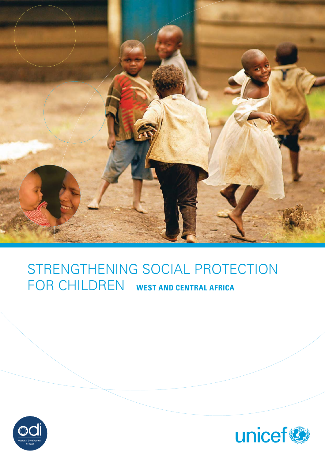

# STRENGTHENING SOCIAL PROTECTION FOR CHILDREN **WEST AND CENTRAL AFRICA**



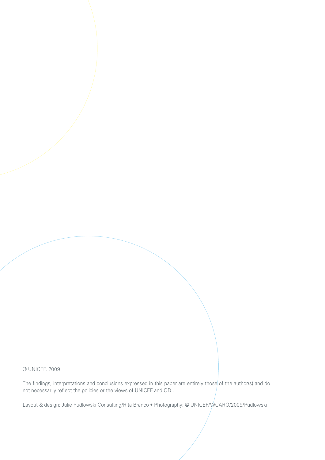### © UNICEF, 2009

The findings, interpretations and conclusions expressed in this paper are entirely those of the author(s) and do not necessarily reflect the policies or the views of UNICEF and ODI.

Layout & design: Julie Pudlowski Consulting/Rita Branco · Photography: © UNICEF/WCARO/2009/Pudlowski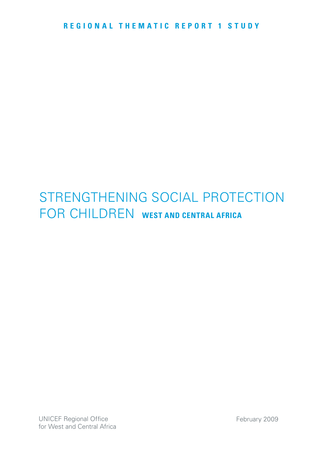# STRENGTHENING SOCIAL PROTECTION FOR CHILDREN WEST AND CENTRAL AFRICA

**UNICEF Regional Office** for West and Central Africa

February 2009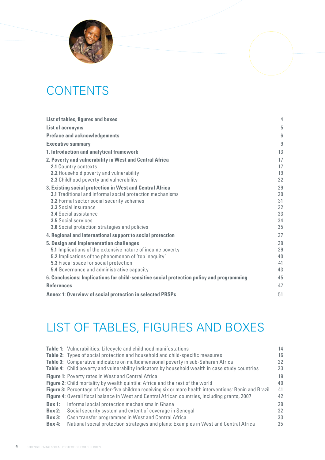

# **CONTENTS**

| List of tables, figures and boxes                                                                                                                                                                                                                                                                         | 4                                      |
|-----------------------------------------------------------------------------------------------------------------------------------------------------------------------------------------------------------------------------------------------------------------------------------------------------------|----------------------------------------|
| <b>List of acronyms</b>                                                                                                                                                                                                                                                                                   | $\overline{5}$                         |
| <b>Preface and acknowledgements</b>                                                                                                                                                                                                                                                                       | $6\,$                                  |
| <b>Executive summary</b>                                                                                                                                                                                                                                                                                  | 9                                      |
| 1. Introduction and analytical framework                                                                                                                                                                                                                                                                  | 13                                     |
| 2. Poverty and vulnerability in West and Central Africa<br>2.1 Country contexts<br>2.2 Household poverty and vulnerability<br>2.3 Childhood poverty and vulnerability                                                                                                                                     | 17<br>17<br>19<br>22                   |
| 3. Existing social protection in West and Central Africa<br>3.1 Traditional and informal social protection mechanisms<br>3.2 Formal sector social security schemes<br>3.3 Social insurance<br><b>3.4 Social assistance</b><br><b>3.5 Social services</b><br>3.6 Social protection strategies and policies | 29<br>29<br>31<br>32<br>33<br>34<br>35 |
| 4. Regional and international support to social protection                                                                                                                                                                                                                                                | 37                                     |
| 5. Design and implementation challenges<br><b>5.1</b> Implications of the extensive nature of income poverty<br>5.2 Implications of the phenomenon of 'top inequity'<br>5.3 Fiscal space for social protection<br><b>5.4 Governance and administrative capacity</b>                                       | 39<br>39<br>40<br>41<br>43             |
| 6. Conclusions: Implications for child-sensitive social protection policy and programming                                                                                                                                                                                                                 | 45                                     |
| <b>References</b>                                                                                                                                                                                                                                                                                         | 47                                     |
| <b>Annex 1: Overview of social protection in selected PRSPs</b>                                                                                                                                                                                                                                           | 51                                     |

# LIST OF TABLES, FIGURES AND BOXES

|                                                   | <b>Table 1:</b> Vulnerabilities: Lifecycle and childhood manifestations<br><b>Table 2:</b> Types of social protection and household and child-specific measures<br><b>Table 3:</b> Comparative indicators on multidimensional poverty in sub-Saharan Africa<br><b>Table 4:</b> Child poverty and vulnerability indicators by household wealth in case study countries | 14<br>16<br>22<br>23 |
|---------------------------------------------------|-----------------------------------------------------------------------------------------------------------------------------------------------------------------------------------------------------------------------------------------------------------------------------------------------------------------------------------------------------------------------|----------------------|
|                                                   | <b>Figure 1: Poverty rates in West and Central Africa</b><br>Figure 2: Child mortality by wealth quintile: Africa and the rest of the world<br>Figure 3: Percentage of under-five children receiving six or more health interventions: Benin and Brazil<br>Figure 4: Overall fiscal balance in West and Central African countries, including grants, 2007             | 19<br>40<br>41<br>42 |
| $Box 1$ :<br>$Box 2$ :<br>Box 3:<br><b>Box 4:</b> | Informal social protection mechanisms in Ghana<br>Social security system and extent of coverage in Senegal<br>Cash transfer programmes in West and Central Africa<br>National social protection strategies and plans: Examples in West and Central Africa                                                                                                             | 29<br>32<br>33<br>35 |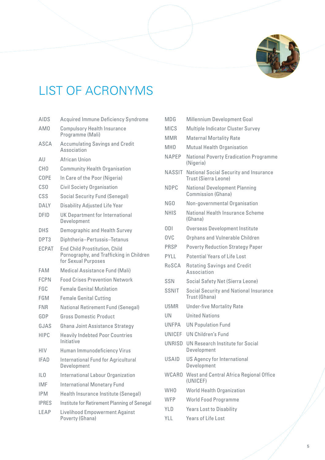

# LIST OF ACRONYMS

| <b>AIDS</b>      | Acquired Immune Deficiency Syndrome                                                              |
|------------------|--------------------------------------------------------------------------------------------------|
| AM <sub>0</sub>  | <b>Compulsory Health Insurance</b><br>Programme (Mali)                                           |
| ASCA             | <b>Accumulating Savings and Credit</b><br>Association                                            |
| AU               | African Union                                                                                    |
| CH <sub>O</sub>  | <b>Community Health Organisation</b>                                                             |
| COPE             | In Care of the Poor (Nigeria)                                                                    |
| CS <sub>0</sub>  | <b>Civil Society Organisation</b>                                                                |
| CSS              | Social Security Fund (Senegal)                                                                   |
| <b>DALY</b>      | Disability Adjusted Life Year                                                                    |
| DFID             | UK Department for International<br>Development                                                   |
| DHS              | Demographic and Health Survey                                                                    |
| DPT <sub>3</sub> | Diphtheria-Pertussis-Tetanus                                                                     |
| <b>ECPAT</b>     | End Child Prostitution, Child<br>Pornography, and Trafficking in Children<br>for Sexual Purposes |
| <b>FAM</b>       | Medical Assistance Fund (Mali)                                                                   |
| <b>FCPN</b>      | <b>Food Crises Prevention Network</b>                                                            |
| <b>FGC</b>       | <b>Female Genital Mutilation</b>                                                                 |
| FGM              | <b>Female Genital Cutting</b>                                                                    |
| <b>FNR</b>       | <b>National Retirement Fund (Senegal)</b>                                                        |
| GDP              | <b>Gross Domestic Product</b>                                                                    |
| GJAS             | Ghana Joint Assistance Strategy                                                                  |
| <b>HIPC</b>      | <b>Heavily Indebted Poor Countries</b><br>Initiative                                             |
| HIV              | Human Immunodeficiency Virus                                                                     |
| <b>IFAD</b>      | International Fund for Agricultural<br>Development                                               |
| ILO              | <b>International Labour Organization</b>                                                         |
| <b>IMF</b>       | <b>International Monetary Fund</b>                                                               |
| <b>IPM</b>       | Health Insurance Institute (Senegal)                                                             |
| <b>IPRES</b>     | Institute for Retirement Planning of Senegal                                                     |
| LEAP             | Livelihood Empowerment Against<br>Poverty (Ghana)                                                |

| MDG             | Millennium Development Goal                                           |
|-----------------|-----------------------------------------------------------------------|
| <b>MICS</b>     | Multiple Indicator Cluster Survey                                     |
| <b>MMR</b>      | <b>Maternal Mortality Rate</b>                                        |
| MH O            | <b>Mutual Health Organisation</b>                                     |
| NAPEP           | <b>National Poverty Eradication Programme</b><br>(Nigeria)            |
| <b>NASSIT</b>   | <b>National Social Security and Insurance</b><br>Trust (Sierra Leone) |
| <b>NDPC</b>     | <b>National Development Planning</b><br><b>Commission (Ghana)</b>     |
| NGO             | Non-governmental Organisation                                         |
| <b>NHIS</b>     | National Health Insurance Scheme<br>(Ghana)                           |
| 0DI             | <b>Overseas Development Institute</b>                                 |
| 0VC             | Orphans and Vulnerable Children                                       |
| <b>PRSP</b>     | <b>Poverty Reduction Strategy Paper</b>                               |
| PYLL            | Potential Years of Life Lost                                          |
| RoSCA           | <b>Rotating Savings and Credit</b><br>Association                     |
| SSN             | Social Safety Net (Sierra Leone)                                      |
| <b>SSNIT</b>    | <b>Social Security and National Insurance</b><br>Trust (Ghana)        |
| U5MR            | <b>Under-five Mortality Rate</b>                                      |
| UN              | <b>United Nations</b>                                                 |
| <b>UNFPA</b>    | <b>UN Population Fund</b>                                             |
| <b>UNICEF</b>   | UN Children's Fund                                                    |
|                 | <b>UNRISD</b> UN Research Institute for Social<br>Development         |
| USAID           | <b>US Agency for International</b><br>Development                     |
|                 | <b>WCARO</b> West and Central Africa Regional Office<br>(UNICEF)      |
| WH <sub>0</sub> | <b>World Health Organization</b>                                      |
| <b>WFP</b>      | <b>World Food Programme</b>                                           |
| YLD             | <b>Years Lost to Disability</b>                                       |
| YLL             | Years of Life Lost                                                    |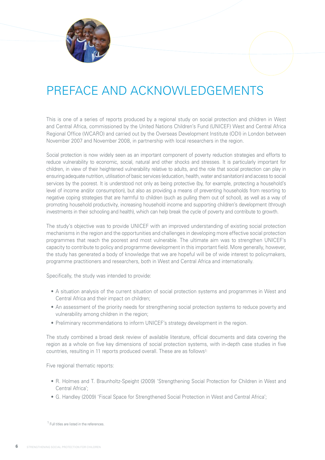

# PREFACE AND ACKNOWLEDGEMENTS

This is one of a series of reports produced by a regional study on social protection and children in West and Central Africa, commissioned by the United Nations Children's Fund (UNICEF) West and Central Africa Regional Office (WCARO) and carried out by the Overseas Development Institute (ODI) in London between November 2007 and November 2008, in partnership with local researchers in the region.

Social protection is now widely seen as an important component of poverty reduction strategies and efforts to reduce vulnerability to economic, social, natural and other shocks and stresses. It is particularly important for children, in view of their heightened vulnerability relative to adults, and the role that social protection can play in ensuring adequate nutrition, utilisation of basic services (education, health, water and sanitation) and access to social services by the poorest. It is understood not only as being protective (by, for example, protecting a household's level of income and/or consumption), but also as providing a means of preventing households from resorting to negative coping strategies that are harmful to children (such as pulling them out of school), as well as a way of promoting household productivity, increasing household income and supporting children's development (through investments in their schooling and health), which can help break the cycle of poverty and contribute to growth.

The study's objective was to provide UNICEF with an improved understanding of existing social protection mechanisms in the region and the opportunities and challenges in developing more effective social protection programmes that reach the poorest and most vulnerable. The ultimate aim was to strengthen UNICEF's capacity to contribute to policy and programme development in this important field. More generally, however, the study has generated a body of knowledge that we are hopeful will be of wide interest to policymakers, programme practitioners and researchers, both in West and Central Africa and internationally.

Specifically, the study was intended to provide:

- A situation analysis of the current situation of social protection systems and programmes in West and Central Africa and their impact on children;
- An assessment of the priority needs for strengthening social protection systems to reduce poverty and vulnerability among children in the region;
- $\bullet$  Preliminary recommendations to inform UNICEF's strategy development in the region.

The study combined a broad desk review of available literature, official documents and data covering the region as a whole on five key dimensions of social protection systems, with in-depth case studies in five countries, resulting in 11 reports produced overall. These are as follows1:

Five regional thematic reports:

- $\bullet$  R. Holmes and T. Braunholtz-Speight (2009) 'Strengthening Social Protection for Children in West and Central Africa';
- $\bullet$  G. Handley (2009) 'Fiscal Space for Strengthened Social Protection in West and Central Africa';

<sup>1</sup> Full titles are listed in the references.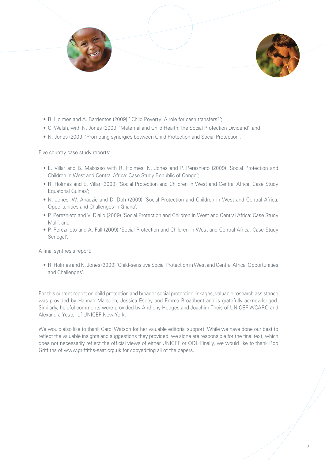

- R. Holmes and A. Barrientos (2009) ' Child Poverty: A role for cash transfers?':
- . C. Walsh, with N. Jones (2009) 'Maternal and Child Health: the Social Protection Dividend'; and
- . N. Jones (2009) 'Promoting synergies between Child Protection and Social Protection'.

Five country case study reports:

- E. Villar and B. Makosso with R. Holmes, N. Jones and P. Pereznieto (2009) 'Social Protection and Children in West and Central Africa: Case Study Republic of Congo';
- R. Holmes and E. Villar (2009) 'Social Protection and Children in West and Central Africa: Case Study Equatorial Guinea';
- N. Jones, W. Ahadzie and D. Doh (2009) 'Social Protection and Children in West and Central Africa: Opportunities and Challenges in Ghana';
- . P. Pereznieto and V. Diallo (2009) 'Social Protection and Children in West and Central Africa: Case Study Mali': and
- . P. Pereznieto and A. Fall (2009) 'Social Protection and Children in West and Central Africa: Case Study Senegal'.

A final synthesis report:

• R. Holmes and N. Jones (2009) 'Child-sensitive Social Protection in West and Central Africa: Opportunities and Challenges'.

For this current report on child protection and broader social protection linkages, valuable research assistance was provided by Hannah Marsden, Jessica Espey and Emma Broadbent and is gratefully acknowledged. Similarly, helpful comments were provided by Anthony Hodges and Joachim Theis of UNICEF WCARO and Alexandra Yuster of UNICEE New York

We would also like to thank Carol Watson for her valuable editorial support. While we have done our best to reflect the valuable insights and suggestions they provided, we alone are responsible for the final text, which does not necessarily reflect the official views of either UNICEF or ODI. Finally, we would like to thank Roo Griffiths of www.griffiths-saat.org.uk for copyediting all of the papers.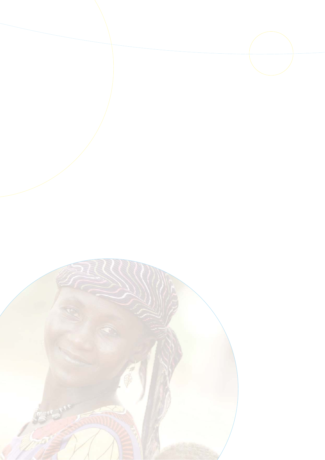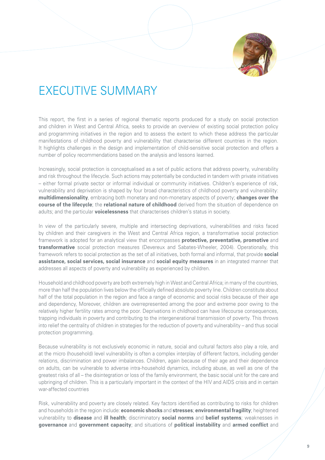# **EXECUTIVE SUMMARY**

This report, the first in a series of regional thematic reports produced for a study on social protection and children in West and Central Africa, seeks to provide an overview of existing social protection policy and programming initiatives in the region and to assess the extent to which these address the particular manifestations of childhood poverty and vulnerability that characterise different countries in the region. It highlights challenges in the design and implementation of child-sensitive social protection and offers a number of policy recommendations based on the analysis and lessons learned.

Increasingly, social protection is conceptualised as a set of public actions that address poverty, vulnerability and risk throughout the lifecycle. Such actions may potentially be conducted in tandem with private initiatives - either formal private sector or informal individual or community initiatives. Children's experience of risk. vulnerability and deprivation is shaped by four broad characteristics of childhood poverty and vulnerability: multidimensionality, embracing both monetary and non-monetary aspects of poverty; changes over the course of the lifecycle; the relational nature of childhood derived from the situation of dependence on adults; and the particular voicelessness that characterises children's status in society.

In view of the particularly severe, multiple and intersecting deprivations, vulnerabilities and risks faced by children and their caregivers in the West and Central Africa region, a transformative social protection framework is adopted for an analytical view that encompasses protective, preventative, promotive and transformative social protection measures (Devereux and Sabates-Wheeler, 2004). Operationally, this framework refers to social protection as the set of all initiatives, both formal and informal, that provide social assistance, social services, social insurance and social equity measures in an integrated manner that addresses all aspects of poverty and vulnerability as experienced by children.

Household and childhood poverty are both extremely high in West and Central Africa; in many of the countries, more than half the population lives below the officially defined absolute poverty line. Children constitute about half of the total population in the region and face a range of economic and social risks because of their age and dependency, Moreover, children are overrepresented among the poor and extreme poor owing to the relatively higher fertility rates among the poor. Deprivations in childhood can have lifecourse consequences, trapping individuals in poverty and contributing to the intergenerational transmission of poverty. This throws into relief the centrality of children in strategies for the reduction of poverty and vulnerability - and thus social protection programming.

Because vulnerability is not exclusively economic in nature, social and cultural factors also play a role, and at the micro (household) level vulnerability is often a complex interplay of different factors, including gender relations, discrimination and power imbalances. Children, again because of their age and their dependence on adults, can be vulnerable to adverse intra-household dynamics, including abuse, as well as one of the greatest risks of all – the disintegration or loss of the family environment, the basic social unit for the care and upbringing of children. This is a particularly important in the context of the HIV and AIDS crisis and in certain war-affected countries

Risk, vulnerability and poverty are closely related. Key factors identified as contributing to risks for children and households in the region include: economic shocks and stresses; environmental fragility; heightened vulnerability to disease and ill health; discriminatory social norms and belief systems; weaknesses in governance and government capacity; and situations of political instability and armed conflict and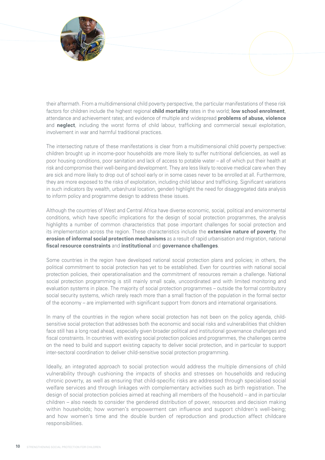

The intersecting nature of these manifestations is clear from a multidimensional child poverty perspective: children brought up in income-poor households are more likely to suffer nutritional deficiencies, as well as poor housing conditions, poor sanitation and lack of access to potable water – all of which put their health at risk and compromise their well-being and development. They are less likely to receive medical care when they are sick and more likely to drop out of school early or in some cases never to be enrolled at all. Furthermore, they are more exposed to the risks of exploitation, including child labour and trafficking. Significant variations in such indicators (by wealth, urban/rural location, gender) highlight the need for disaggregated data analysis to inform policy and programme design to address these issues.

Although the countries of West and Central Africa have diverse economic, social, political and environmental conditions, which have specific implications for the design of social protection programmes, the analysis highlights a number of common characteristics that pose important challenges for social protection and its implementation across the region. These characteristics include the **extensive nature of poverty**, the **erosion of informal social protection mechanisms** as a result of rapid urbanisation and migration, national **fiscal resource constraints** and **institutional** and **governance challenges**.

Some countries in the region have developed national social protection plans and policies; in others, the political commitment to social protection has yet to be established. Even for countries with national social protection policies, their operationalisation and the commitment of resources remain a challenge. National social protection programming is still mainly small scale, uncoordinated and with limited monitoring and evaluation systems in place. The majority of social protection programmes – outside the formal contributory social security systems, which rarely reach more than a small fraction of the population in the formal sector of the economy – are implemented with significant support from donors and international organisations.

In many of the countries in the region where social protection has not been on the policy agenda, childsensitive social protection that addresses both the economic and social risks and vulnerabilities that children face still has a long road ahead, especially given broader political and institutional governance challenges and fiscal constraints. In countries with existing social protection policies and programmes, the challenges centre on the need to build and support existing capacity to deliver social protection, and in particular to support inter-sectoral coordination to deliver child-sensitive social protection programming.

Ideally, an integrated approach to social protection would address the multiple dimensions of child vulnerability through cushioning the impacts of shocks and stresses on households and reducing chronic poverty, as well as ensuring that child-specific risks are addressed through specialised social welfare services and through linkages with complementary activities such as birth registration. The design of social protection policies aimed at reaching all members of the household – and in particular children – also needs to consider the gendered distribution of power, resources and decision making within households; how women's empowerment can influence and support children's well-being; and how women's time and the double burden of reproduction and production affect childcare responsibilities.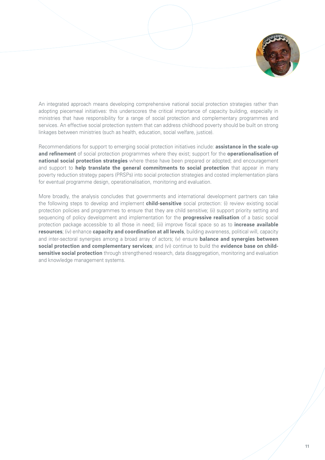An integrated approach means developing comprehensive national social protection strategies rather than adopting piecemeal initiatives: this underscores the critical importance of capacity building, especially in ministries that have responsibility for a range of social protection and complementary programmes and services. An effective social protection system that can address childhood poverty should be built on strong linkages between ministries (such as health, education, social welfare, justice).

Recommendations for support to emerging social protection initiatives include: **assistance in the scale-up and refinement** of social protection programmes where they exist; support for the **operationalisation of national social protection strategies** where these have been prepared or adopted; and encouragement and support to **help translate the general commitments to social protection** that appear in many poverty reduction strategy papers (PRSPs) into social protection strategies and costed implementation plans for eventual programme design, operationalisation, monitoring and evaluation.

More broadly, the analysis concludes that governments and international development partners can take the following steps to develop and implement **child-sensitive** social protection: (i) review existing social protection policies and programmes to ensure that they are child sensitive; (ii) support priority setting and sequencing of policy development and implementation for the **progressive realisation** of a basic social protection package accessible to all those in need; (iii) improve fiscal space so as to **increase available resources**; (iv) enhance **capacity and coordination at all levels**, building awareness, political will, capacity and inter-sectoral synergies among a broad array of actors; (v) ensure **balance and synergies between social protection and complementary services**; and (vi) continue to build the **evidence base on childsensitive social protection** through strengthened research, data disaggregation, monitoring and evaluation and knowledge management systems.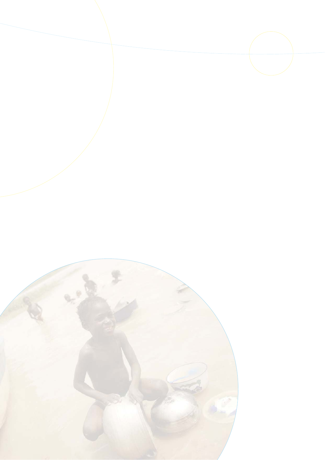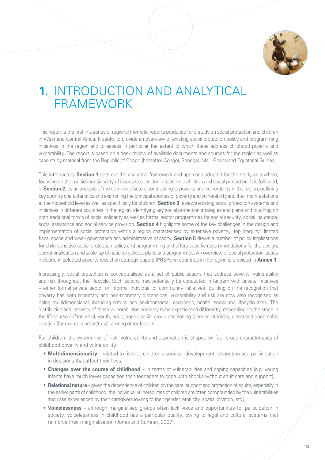

# **1.** INTRODUCTION AND ANALYTICAL **FRAMEWORK**

This report is the first in a series of regional thematic reports produced for a study on social protection and children in West and Central Africa. It seeks to provide an overview of existing social protection policy and programming initiatives in the region and to assess in particular the extent to which these address childhood poverty and vulnerability. The report is based on a desk review of available documents and sources for the region as well as case study material from the Republic of Congo (hereafter Congo), Senegal, Mali, Ghana and Equatorial Guinea.

This introductory **Section 1** sets out the analytical framework and approach adopted for the study as a whole, focusing on the multidimensionality of issues to consider in relation to children and social protection. It is followed, in **Section 2**, by an analysis of the dominant factors contributing to poverty and vulnerability in the region, outlining key country characteristics and examining the principal sources of poverty and vulnerability and their manifestations at the household level as well as specifically for children. **Section 3** reviews existing social protection systems and initiatives in different countries in the region, identifying key social protection strategies and plans and touching on both traditional forms of social solidarity as well as formal sector programmes for social security, social insurance, social assistance and social service provision. **Section 4** highlights some of the key challenges in the design and implementation of social protection within a region characterised by extensive poverty, 'top inequity', limited fiscal space and weak governance and administrative capacity. **Section 5** draws a number of policy implications for child-sensitive social protection policy and programming and offers specific recommendations for the design, operationalisation and scale-up of national polices, plans and programmes. An overview of social protection issues included in selected poverty reduction strategy papers (PRSPs) in countries in the region is provided in **Annex 1**.

Increasingly, social protection is conceptualised as a set of public actions that address poverty, vulnerability and risk throughout the lifecycle. Such actions may potentially be conducted in tandem with private initiatives – either formal private sector or informal individual or community initiatives. Building on the recognition that poverty has both monetary and non-monetary dimensions, vulnerability and risk are now also recognised as being multidimensional, including natural and environmental, economic, health, social and lifecycle axes. The distribution and intensity of these vulnerabilities are likely to be experienced differently, depending on the stage in the lifecourse (infant, child, youth, adult, aged), social group positioning (gender, ethnicity, class) and geographic location (for example urban/rural), among other factors.

For children, the experience of risk, vulnerability and deprivation is shaped by four broad characteristics of childhood poverty and vulnerability:

- **Multidimensionality** related to risks to children's survival, development, protection and participation in decisions that affect their lives;
- **Changes over the course of childhood** in terms of vulnerabilities and coping capacities (e.g. young infants have much lower capacities than teenagers to cope with shocks without adult care and support);
- Relational nature given the dependence of children on the care, support and protection of adults, especially in the earlier parts of childhood, the individual vulnerabilities of children are often compounded by the vulnerabilities and risks experienced by their caregivers (owing to their gender, ethnicity, spatial location, etc.);
- U **Voicelessness** although marginalised groups often lack voice and opportunities for participation in society, voicelessness in childhood has a particular quality, owing to legal and cultural systems that reinforce their marginalisation (Jones and Sumner, 2007).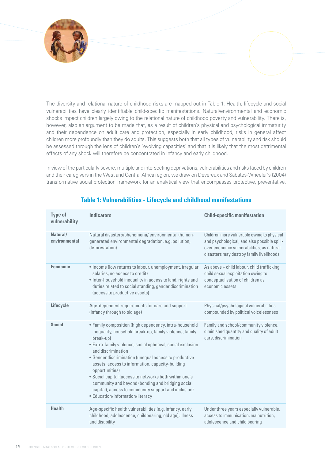

The diversity and relational nature of childhood risks are mapped out in Table 1. Health, lifecycle and social vulnerabilities have clearly identifiable child-specific manifestations. Natural/environmental and economic shocks impact children largely owing to the relational nature of childhood poverty and vulnerability. There is, however, also an argument to be made that, as a result of children's physical and psychological immaturity and their dependence on adult care and protection, especially in early childhood, risks in general affect children more profoundly than they do adults. This suggests both that all types of vulnerability and risk should be assessed through the lens of children's 'evolving capacities' and that it is likely that the most detrimental effects of any shock will therefore be concentrated in infancy and early childhood.

In view of the particularly severe, multiple and intersecting deprivations, vulnerabilities and risks faced by children and their caregivers in the West and Central Africa region, we draw on Devereux and Sabates-Wheeler's (2004) transformative social protection framework for an analytical view that encompasses protective, preventative,

| <b>Type of</b><br>vulnerability | <b>Indicators</b>                                                                                                                                                                                                                                                                                                                                                                                                                                                                                                                                            | <b>Child-specific manifestation</b>                                                                                                                                                |
|---------------------------------|--------------------------------------------------------------------------------------------------------------------------------------------------------------------------------------------------------------------------------------------------------------------------------------------------------------------------------------------------------------------------------------------------------------------------------------------------------------------------------------------------------------------------------------------------------------|------------------------------------------------------------------------------------------------------------------------------------------------------------------------------------|
| Natural/<br>environmental       | Natural disasters/phenomena/environmental (human-<br>generated environmental degradation, e.g. pollution,<br>deforestation)                                                                                                                                                                                                                                                                                                                                                                                                                                  | Children more vulnerable owing to physical<br>and psychological, and also possible spill-<br>over economic vulnerabilities, as natural<br>disasters may destroy family livelihoods |
| Economic                        | · Income (low returns to labour, unemployment, irregular<br>salaries, no access to credit)<br>. Inter-household inequality in access to land, rights and<br>duties related to social standing, gender discrimination<br>(access to productive assets)                                                                                                                                                                                                                                                                                                        | As above + child labour, child trafficking,<br>child sexual exploitation owing to<br>conceptualisation of children as<br>economic assets                                           |
| Lifecycle                       | Age-dependent requirements for care and support<br>(infancy through to old age)                                                                                                                                                                                                                                                                                                                                                                                                                                                                              | Physical/psychological vulnerabilities<br>compounded by political voicelessness                                                                                                    |
| <b>Social</b>                   | • Family composition (high dependency, intra-household<br>inequality, household break-up, family violence, family<br>break-up)<br>· Extra-family violence, social upheaval, social exclusion<br>and discrimination<br>• Gender discrimination (unequal access to productive<br>assets, access to information, capacity-building<br>opportunities)<br>· Social capital (access to networks both within one's<br>community and beyond (bonding and bridging social<br>capital), access to community support and inclusion)<br>• Education/information/literacy | Family and school/community violence,<br>diminished quantity and quality of adult<br>care, discrimination                                                                          |
| <b>Health</b>                   | Age-specific health vulnerabilities (e.g. infancy, early<br>childhood, adolescence, childbearing, old age), illness<br>and disability                                                                                                                                                                                                                                                                                                                                                                                                                        | Under three years especially vulnerable,<br>access to immunisation, malnutrition,<br>adolescence and child bearing                                                                 |

### **Table 1: Vulnerabilities - Lifecycle and childhood manifestations**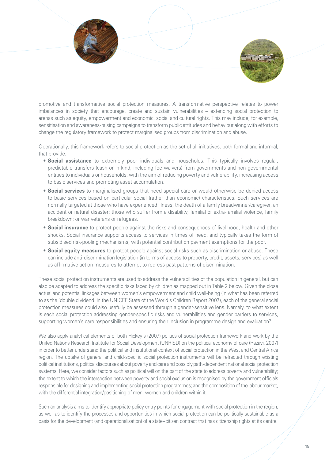promotive and transformative social protection measures. A transformative perspective relates to power imbalances in society that encourage, create and sustain vulnerabilities – extending social protection to arenas such as equity, empowerment and economic, social and cultural rights. This may include, for example, sensitisation and awareness-raising campaigns to transform public attitudes and behaviour along with efforts to change the regulatory framework to protect marginalised groups from discrimination and abuse.

Operationally, this framework refers to social protection as the set of all initiatives, both formal and informal, that provide:

- . Social assistance to extremely poor individuals and households. This typically involves regular, predictable transfers (cash or in kind, including fee waivers) from governments and non-governmental entities to individuals or households, with the aim of reducing poverty and vulnerability, increasing access to basic services and promoting asset accumulation.
- Social services to marginalised groups that need special care or would otherwise be denied access to basic services based on particular social (rather than economic) characteristics. Such services are normally targeted at those who have experienced illness, the death of a family breadwinner/caregiver, an accident or natural disaster; those who suffer from a disability, familial or extra-familial violence, family breakdown: or war veterans or refugees.
- Social insurance to protect people against the risks and consequences of livelihood, health and other shocks. Social insurance supports access to services in times of need, and typically takes the form of subsidised risk-pooling mechanisms, with potential contribution payment exemptions for the poor.
- Social equity measures to protect people against social risks such as discrimination or abuse. These can include anti-discrimination legislation (in terms of access to property, credit, assets, services) as well as affirmative action measures to attempt to redress past patterns of discrimination.

These social protection instruments are used to address the vulnerabilities of the population in general, but can also be adapted to address the specific risks faced by children as mapped out in Table 2 below. Given the close actual and potential linkages between women's empowerment and child well-being (in what has been referred to as the 'double dividend' in the UNICEF State of the World's Children Report 2007), each of the general social protection measures could also usefully be assessed through a gender-sensitive lens. Namely, to what extent is each social protection addressing gender-specific risks and vulnerabilities and gender barriers to services. supporting women's care responsibilities and ensuring their inclusion in programme design and evaluation?

We also apply analytical elements of both Hickey's (2007) politics of social protection framework and work by the United Nations Research Institute for Social Development (UNRISD) on the political economy of care (Razavi, 2007) in order to better understand the political and institutional context of social protection in the West and Central Africa region. The uptake of general and child-specific social protection instruments will be refracted through existing political institutions, political discourses about poverty and care and possibly path-dependent national social protection systems. Here, we consider factors such as political will on the part of the state to address poverty and vulnerability; the extent to which the intersection between poverty and social exclusion is recognised by the government officials responsible for designing and implementing social protection programmes; and the composition of the labour market, with the differential integration/positioning of men, women and children within it.

Such an analysis aims to identify appropriate policy entry points for engagement with social protection in the region, as well as to identify the processes and opportunities in which social protection can be politically sustainable as a basis for the development (and operationalisation) of a state-citizen contract that has citizenship rights at its centre.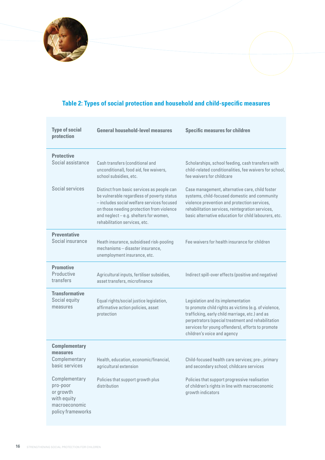

## **Table 2: Types of social protection and household and child-specific measures**

| <b>Type of social</b><br>protection                                                         | <b>General household-level measures</b>                                                                                                                                                                                                                        | <b>Specific measures for children</b>                                                                                                                                                                                                                                                    |
|---------------------------------------------------------------------------------------------|----------------------------------------------------------------------------------------------------------------------------------------------------------------------------------------------------------------------------------------------------------------|------------------------------------------------------------------------------------------------------------------------------------------------------------------------------------------------------------------------------------------------------------------------------------------|
| <b>Protective</b><br>Social assistance                                                      | Cash transfers (conditional and<br>unconditional), food aid, fee waivers,<br>school subsidies, etc.                                                                                                                                                            | Scholarships, school feeding, cash transfers with<br>child-related conditionalities, fee waivers for school,<br>fee waivers for childcare                                                                                                                                                |
| Social services                                                                             | Distinct from basic services as people can<br>be vulnerable regardless of poverty status<br>- includes social welfare services focused<br>on those needing protection from violence<br>and neglect - e.g. shelters for women,<br>rehabilitation services, etc. | Case management, alternative care, child foster<br>systems, child-focused domestic and community<br>violence prevention and protection services,<br>rehabilitation services, reintegration services,<br>basic alternative education for child labourers, etc.                            |
| <b>Preventative</b><br>Social insurance                                                     | Heath insurance, subsidised risk-pooling<br>mechanisms - disaster insurance,<br>unemployment insurance, etc.                                                                                                                                                   | Fee waivers for health insurance for children                                                                                                                                                                                                                                            |
| <b>Promotive</b><br>Productive<br>transfers                                                 | Agricultural inputs, fertiliser subsidies,<br>asset transfers, microfinance                                                                                                                                                                                    | Indirect spill-over effects (positive and negative)                                                                                                                                                                                                                                      |
| <b>Transformative</b><br>Social equity<br>measures                                          | Equal rights/social justice legislation,<br>affirmative action policies, asset<br>protection                                                                                                                                                                   | Legislation and its implementation<br>to promote child rights as victims (e.g. of violence,<br>trafficking, early child marriage, etc.) and as<br>perpetrators (special treatment and rehabilitation<br>services for young offenders), efforts to promote<br>children's voice and agency |
| <b>Complementary</b><br>measures<br>Complementary<br>basic services                         | Health, education, economic/financial,<br>agricultural extension                                                                                                                                                                                               | Child-focused health care services; pre-, primary<br>and secondary school; childcare services                                                                                                                                                                                            |
| Complementary<br>pro-poor<br>or growth<br>with equity<br>macroeconomic<br>policy frameworks | Policies that support growth plus<br>distribution                                                                                                                                                                                                              | Policies that support progressive realisation<br>of children's rights in line with macroeconomic<br>growth indicators                                                                                                                                                                    |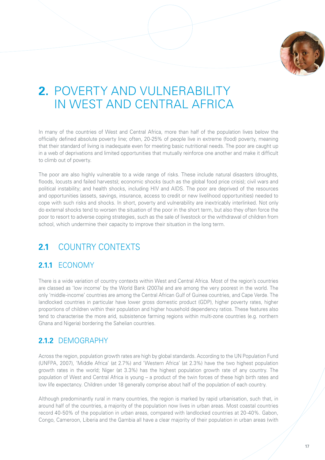

# **2. POVERTY AND VULNERABILITY** IN WEST AND CENTRAL AFRICA

In many of the countries of West and Central Africa, more than half of the population lives below the officially defined absolute poverty line; often, 20-25% of people live in extreme (food) poverty, meaning that their standard of living is inadequate even for meeting basic nutritional needs. The poor are caught up in a web of deprivations and limited opportunities that mutually reinforce one another and make it difficult to climb out of poverty.

The poor are also highly vulnerable to a wide range of risks. These include natural disasters (droughts, floods, locusts and failed harvests); economic shocks (such as the global food price crisis); civil wars and political instability; and health shocks, including HIV and AIDS. The poor are deprived of the resources and opportunities (assets, savings, insurance, access to credit or new livelihood opportunities) needed to cope with such risks and shocks. In short, poverty and vulnerability are inextricably interlinked. Not only do external shocks tend to worsen the situation of the poor in the short term, but also they often force the poor to resort to adverse coping strategies, such as the sale of livestock or the withdrawal of children from school, which undermine their capacity to improve their situation in the long term.

# **2.1** COUNTRY CONTEXTS

## **2.1.1** ECONOMY

There is a wide variation of country contexts within West and Central Africa. Most of the region's countries are classed as 'low income' by the World Bank (2007a) and are among the very poorest in the world. The only 'middle-income' countries are among the Central African Gulf of Guinea countries, and Cape Verde. The landlocked countries in particular have lower gross domestic product (GDP), higher poverty rates, higher proportions of children within their population and higher household dependency ratios. These features also tend to characterise the more arid, subsistence farming regions within multi-zone countries (e.g. northern Ghana and Nigeria) bordering the Sahelian countries.

## **2.1.2** DEMOGRAPHY

Across the region, population growth rates are high by global standards. According to the UN Population Fund (UNFPA, 2007). 'Middle Africa' (at 2.7%) and 'Western Africa' (at 2.3%) have the two highest population growth rates in the world; Niger (at 3.3%) has the highest population growth rate of any country. The population of West and Central Africa is young – a product of the twin forces of these high birth rates and low life expectancy. Children under 18 generally comprise about half of the population of each country.

Although predominantly rural in many countries, the region is marked by rapid urbanisation, such that, in around half of the countries, a majority of the population now lives in urban areas. Most coastal countries record 40-50% of the population in urban areas, compared with landlocked countries at 20-40%. Gabon, Congo, Cameroon, Liberia and the Gambia all have a clear majority of their population in urban areas (with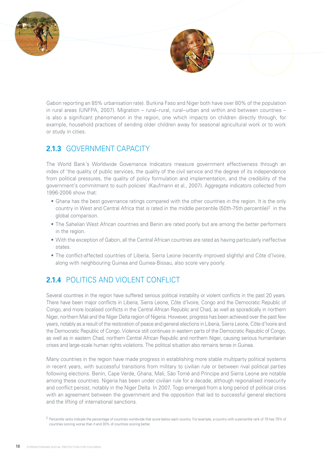

Gabon reporting an 85% urbanisation rate). Burkina Faso and Niger both have over 80% of the population in rural areas (UNFPA, 2007). Migration - rural-rural, rural-urban and within and between countries is also a significant phenomenon in the region, one which impacts on children directly through, for example, household practices of sending older children away for seasonal agricultural work or to work or study in cities.

## 2.1.3 GOVERNMENT CAPACITY

The World Bank's Worldwide Governance Indicators measure government effectiveness through an index of 'the quality of public services, the quality of the civil service and the degree of its independence from political pressures, the quality of policy formulation and implementation, and the credibility of the government's commitment to such policies' (Kaufmann et al., 2007). Aggregate indicators collected from 1996-2006 show that:

- Ghana has the best governance ratings compared with the other countries in the region. It is the only country in West and Central Africa that is rated in the middle percentile (50th-75th percentile)<sup>2</sup> in the global comparison.
- The Sahelian West African countries and Benin are rated poorly but are among the better performers in the region.
- . With the exception of Gabon, all the Central African countries are rated as having particularly ineffective states.
- The conflict-affected countries of Liberia, Sierra Leone (recently improved slightly) and Côte d'Ivoire, along with neighbouring Guinea and Guinea-Bissau, also score very poorly.

## 2.1.4 POLITICS AND VIOLENT CONFLICT

Several countries in the region have suffered serious political instability or violent conflicts in the past 20 years. There have been major conflicts in Liberia, Sierra Leone, Côte d'Ivoire, Congo and the Democratic Republic of Congo, and more localised conflicts in the Central African Republic and Chad, as well as sporadically in northern Niger, northern Mali and the Niger Delta region of Nigeria. However, progress has been achieved over the past few years, notably as a result of the restoration of peace and general elections in Liberia, Sierra Leone, Côte d'Ivoire and the Democratic Republic of Congo. Violence still continues in eastern parts of the Democratic Republic of Congo, as well as in eastern Chad, northern Central African Republic and northern Niger, causing serious humanitarian crises and large-scale human rights violations. The political situation also remains tense in Guinea.

Many countries in the region have made progress in establishing more stable multiparty political systems in recent years, with successful transitions from military to civilian rule or between rival political parties following elections. Benin, Cape Verde, Ghana, Mali, São Tomé and Príncipe and Sierra Leone are notable among these countries. Nigeria has been under civilian rule for a decade, although regionalised insecurity and conflict persist, notably in the Niger Delta. In 2007, Togo emerged from a long period of political crisis with an agreement between the government and the opposition that led to successful general elections and the lifting of international sanctions.

<sup>&</sup>lt;sup>2</sup> Percentile ranks indicate the percentage of countries worldwide that score below each country. For example, a country with a percentile rank of 70 has 70% of countries scoring worse than it and 30% of countries scoring better.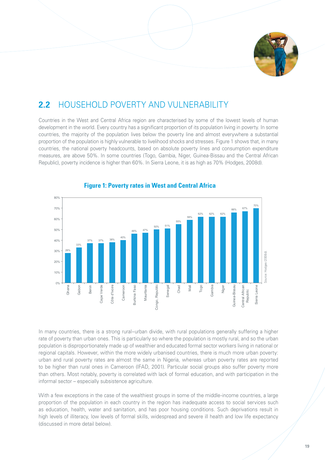

#### $2.2$ HOUSEHOLD POVERTY AND VULNERABILITY

Countries in the West and Central Africa region are characterised by some of the lowest levels of human development in the world. Every country has a significant proportion of its population living in poverty. In some countries, the majority of the population lives below the poverty line and almost everywhere a substantial proportion of the population is highly vulnerable to livelihood shocks and stresses. Figure 1 shows that, in many countries, the national poverty headcounts, based on absolute poverty lines and consumption expenditure measures, are above 50%. In some countries (Togo, Gambia, Niger, Guinea-Bissau and the Central African Republic), poverty incidence is higher than 60%. In Sierra Leone, it is as high as 70% (Hodges, 2008d).



### **Figure 1: Poverty rates in West and Central Africa**

In many countries, there is a strong rural-urban divide, with rural populations generally suffering a higher rate of poverty than urban ones. This is particularly so where the population is mostly rural, and so the urban population is disproportionately made up of wealthier and educated formal sector workers living in national or regional capitals. However, within the more widely urbanised countries, there is much more urban poverty: urban and rural poverty rates are almost the same in Nigeria, whereas urban poverty rates are reported to be higher than rural ones in Cameroon (IFAD, 2001). Particular social groups also suffer poverty more than others. Most notably, poverty is correlated with lack of formal education, and with participation in the informal sector - especially subsistence agriculture.

With a few exceptions in the case of the wealthiest groups in some of the middle-income countries, a large proportion of the population in each country in the region has inadequate access to social services such as education, health, water and sanitation, and has poor housing conditions. Such deprivations result in high levels of illiteracy, low levels of formal skills, widespread and severe ill health and low life expectancy (discussed in more detail below).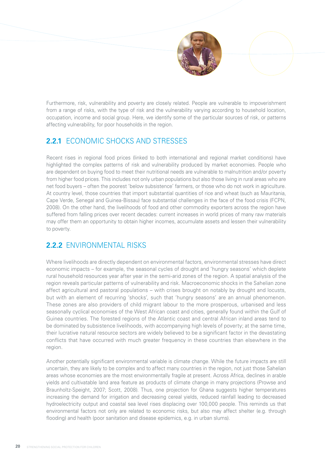

## **2.2.1 FCONOMIC SHOCKS AND STRESSES**

Recent rises in regional food prices (linked to both international and regional market conditions) have highlighted the complex patterns of risk and vulnerability produced by market economies. People who are dependent on buying food to meet their nutritional needs are vulnerable to malnutrition and/or poverty from higher food prices. This includes not only urban populations but also those living in rural areas who are net food buyers - often the poorest 'below subsistence' farmers, or those who do not work in agriculture. At country level, those countries that import substantial quantities of rice and wheat (such as Mauritania, Cape Verde, Senegal and Guinea-Bissau) face substantial challenges in the face of the food crisis (FCPN, 2008). On the other hand, the livelihoods of food and other commodity exporters across the region have suffered from falling prices over recent decades: current increases in world prices of many raw materials may offer them an opportunity to obtain higher incomes, accumulate assets and lessen their vulnerability to poverty.

## 2.2.2 ENVIRONMENTAL RISKS

Where livelihoods are directly dependent on environmental factors, environmental stresses have direct economic impacts – for example, the seasonal cycles of drought and 'hungry seasons' which deplete rural household resources year after year in the semi-arid zones of the region. A spatial analysis of the region reveals particular patterns of vulnerability and risk. Macroeconomic shocks in the Sahelian zone affect agricultural and pastoral populations – with crises brought on notably by drought and locusts. but with an element of recurring 'shocks', such that 'hungry seasons' are an annual phenomenon. These zones are also providers of child migrant labour to the more prosperous, urbanised and less seasonally cyclical economies of the West African coast and cities, generally found within the Gulf of Guinea countries. The forested regions of the Atlantic coast and central African inland areas tend to be dominated by subsistence livelihoods, with accompanying high levels of poverty; at the same time, their lucrative natural resource sectors are widely believed to be a significant factor in the devastating conflicts that have occurred with much greater frequency in these countries than elsewhere in the region.

Another potentially significant environmental variable is climate change. While the future impacts are still uncertain, they are likely to be complex and to affect many countries in the region, not just those Sahelian areas whose economies are the most environmentally fragile at present. Across Africa, declines in arable vields and cultivatable land area feature as products of climate change in many projections (Prowse and Braunholtz-Speight, 2007; Scott, 2008). Thus, one projection for Ghana suggests higher temperatures increasing the demand for irrigation and decreasing cereal yields, reduced rainfall leading to decreased hydroelectricity output and coastal sea level rises displacing over 100,000 people. This reminds us that environmental factors not only are related to economic risks, but also may affect shelter (e.g. through flooding) and health (poor sanitation and disease epidemics, e.g. in urban slums).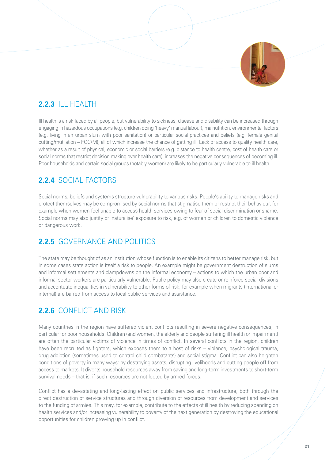## **2.2.3** ILL HEALTH

Ill health is a risk faced by all people, but vulnerability to sickness, disease and disability can be increased through engaging in hazardous occupations (e.g. children doing 'heavy' manual labour), malnutrition, environmental factors (e.g. living in an urban slum with poor sanitation) or particular social practices and beliefs (e.g. female genital cutting/mutilation – FGC/M), all of which increase the chance of getting ill. Lack of access to quality health care, whether as a result of physical, economic or social barriers (e.g. distance to health centre, cost of health care or social norms that restrict decision making over health care), increases the negative consequences of becoming ill. Poor households and certain social groups (notably women) are likely to be particularly vulnerable to ill health.

# **2.2.4** SOCIAL FACTORS

Social norms, beliefs and systems structure vulnerability to various risks. People's ability to manage risks and protect themselves may be compromised by social norms that stigmatise them or restrict their behaviour, for example when women feel unable to access health services owing to fear of social discrimination or shame. Social norms may also justify or 'naturalise' exposure to risk, e.g. of women or children to domestic violence or dangerous work.

## **2.2.5** GOVERNANCE AND POLITICS

The state may be thought of as an institution whose function is to enable its citizens to better manage risk, but in some cases state action is itself a risk to people. An example might be government destruction of slums and informal settlements and clampdowns on the informal economy – actions to which the urban poor and informal sector workers are particularly vulnerable. Public policy may also create or reinforce social divisions and accentuate inequalities in vulnerability to other forms of risk, for example when migrants (international or internal) are barred from access to local public services and assistance.

## **2.2.6** CONFLICT AND RISK

Many countries in the region have suffered violent conflicts resulting in severe negative consequences, in particular for poor households. Children (and women, the elderly and people suffering ill health or impairment) are often the particular victims of violence in times of conflict. In several conflicts in the region, children have been recruited as fighters, which exposes them to a host of risks – violence, psychological trauma, drug addiction (sometimes used to control child combatants) and social stigma. Conflict can also heighten conditions of poverty in many ways: by destroying assets, disrupting livelihoods and cutting people off from access to markets. It diverts household resources away from saving and long-term investments to short-term survival needs – that is, if such resources are not looted by armed forces.

Conflict has a devastating and long-lasting effect on public services and infrastructure, both through the direct destruction of service structures and through diversion of resources from development and services to the funding of armies. This may, for example, contribute to the effects of ill health by reducing spending on health services and/or increasing vulnerability to poverty of the next generation by destroying the educational opportunities for children growing up in conflict.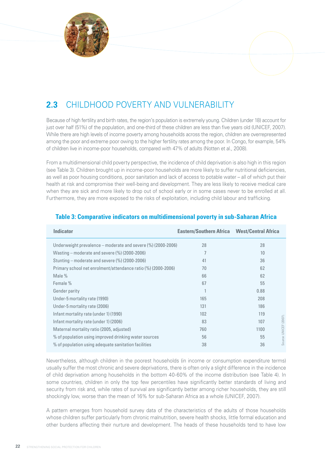

#### **2.3** CHII DHOOD POVERTY AND VUI NERABILITY

Because of high fertility and birth rates, the region's population is extremely young. Children (under 18) account for just over half (51%) of the population, and one-third of these children are less than five years old (UNICEF, 2007). While there are high levels of income poverty among households across the region, children are overrepresented among the poor and extreme poor owing to the higher fertility rates among the poor. In Congo, for example, 54% of children live in income-poor households, compared with 47% of adults (Notten et al., 2008).

From a multidimensional child poverty perspective, the incidence of child deprivation is also high in this region (see Table 3). Children brought up in income-poor households are more likely to suffer nutritional deficiencies, as well as poor housing conditions, poor sanitation and lack of access to potable water – all of which put their health at risk and compromise their well-being and development. They are less likely to receive medical care when they are sick and more likely to drop out of school early or in some cases never to be enrolled at all. Furthermore, they are more exposed to the risks of exploitation, including child labour and trafficking.

| <b>Indicator</b>                                                | <b>Eastern/Southern Africa West/Central Africa</b> |                              |  |
|-----------------------------------------------------------------|----------------------------------------------------|------------------------------|--|
| Underweight prevalence – moderate and severe $(\%)$ (2000-2006) | 28                                                 | 28                           |  |
| Wasting – moderate and severe $(\%)$ (2000-2006)                | $\overline{7}$                                     | 10                           |  |
| Stunting - moderate and severe (%) (2000-2006)                  | 41                                                 | 36                           |  |
| Primary school net enrolment/attendance ratio (%) (2000-2006)   | 70                                                 | 62                           |  |
| Male %                                                          | 66                                                 | 62                           |  |
| Female %                                                        | 67                                                 | 55                           |  |
| Gender parity                                                   |                                                    | 0.88                         |  |
| Under-5 mortality rate (1990)                                   | 165                                                | 208                          |  |
| Under-5 mortality rate (2006)                                   | 131                                                | 186                          |  |
| Infant mortality rate (under 1) (1990)                          | 102                                                | 119                          |  |
| Infant mortality rate (under 1) (2006)                          | 83                                                 | 107                          |  |
| Maternal mortality ratio (2005, adjusted)                       | 760                                                | 1100                         |  |
| % of population using improved drinking water sources           | 56                                                 | Source: UNICEF (2007).<br>55 |  |
| % of population using adequate sanitation facilities            | 38                                                 | 36                           |  |

### **Table 3: Comparative indicators on multidimensional poverty in sub-Saharan Africa**

Nevertheless, although children in the poorest households (in income or consumption expenditure terms) usually suffer the most chronic and severe deprivations, there is often only a slight difference in the incidence of child deprivation among households in the bottom 40-60% of the income distribution (see Table 4). In some countries, children in only the top few percentiles have significantly better standards of living and security from risk and, while rates of survival are significantly better among richer households, they are still shockingly low, worse than the mean of 16% for sub-Saharan Africa as a whole (UNICEF, 2007).

A pattern emerges from household survey data of the characteristics of the adults of those households whose children suffer particularly from chronic malnutrition, severe health shocks, little formal education and other burdens affecting their nurture and development. The heads of these households tend to have low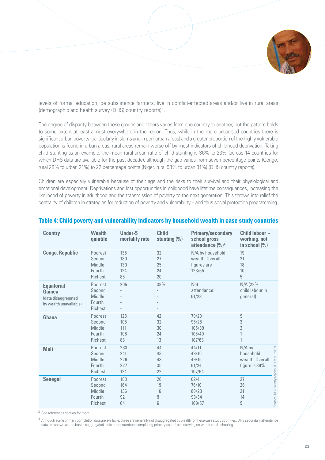

levels of formal education, be subsistence farmers, live in conflict-affected areas and/or live in rural areas (demographic and health survey (DHS) country reports)<sup>3</sup>.

The degree of disparity between these groups and others varies from one country to another, but the pattern holds to some extent at least almost everywhere in the region. Thus, while in the more urbanised countries there is significant urban poverty (particularly in slums and in peri-urban areas) and a greater proportion of the highly vulnerable population is found in urban areas, rural areas remain worse off by most indicators of childhood deprivation. Taking child stunting as an example, the mean rural-urban ratio of child stunting is 36% to 23% (across 14 countries for which DHS data are available for the past decade), although the gap varies from seven percentage points (Congo, rural 28% to urban 21%) to 22 percentage points (Niger, rural 53% to urban 31%) (DHS country reports).

Children are especially vulnerable because of their age and the risks to their survival and their physiological and emotional development. Deprivations and lost opportunities in childhood have lifetime consequences, increasing the likelihood of poverty in adulthood and the transmission of poverty to the next generation. This throws into relief the centrality of children in strategies for reduction of poverty and vulnerability – and thus social protection programming.

| <b>Country</b>                                                               | <b>Wealth</b><br>quintile                        | Under-5<br>mortality rate       | <b>Child</b><br>stunting $(\% )$ | <b>Primary/secondary</b><br>school gross<br>attendance $(\frac{9}{6})^4$ | Child labour -<br>working, not<br>in school $(\% )$                           |
|------------------------------------------------------------------------------|--------------------------------------------------|---------------------------------|----------------------------------|--------------------------------------------------------------------------|-------------------------------------------------------------------------------|
| <b>Congo, Republic</b>                                                       | Poorest<br>Second<br>Middle<br>Fourth<br>Richest | 135<br>130<br>130<br>124<br>85  | 32<br>27<br>25<br>24<br>20       | N/A by household<br>wealth, Overall<br>figures are<br>123/65             | 19<br>21<br>18<br>10<br>5                                                     |
| <b>Equatorial</b><br>Guinea<br>(data disaggregated<br>by wealth unavailable) | Poorest<br>Second<br>Middle<br>Fourth<br>Richest | 205                             | 38%                              | <b>Net</b><br>attendance:<br>61/23                                       | N/A (28%<br>child labour in<br>general)                                       |
| Ghana                                                                        | Poorest<br>Second<br>Middle<br>Fourth<br>Richest | 128<br>105<br>111<br>108<br>88  | 42<br>32<br>30<br>24<br>13       | 70/20<br>95/28<br>105/39<br>105/49<br>107/63                             | 9<br>3<br>2<br>1                                                              |
| <b>Mali</b>                                                                  | Poorest<br>Second<br>Middle<br>Fourth<br>Richest | 233<br>241<br>226<br>227<br>124 | 44<br>43<br>43<br>35<br>22       | 44/11<br>48/16<br>49/15<br>61/24<br>107/64                               | N/A by<br>household<br>wealth, Overall<br>figure is 39%                       |
| <b>Senegal</b>                                                               | Poorest<br>Second<br>Middle<br>Fourth<br>Richest | 183<br>164<br>136<br>92<br>64   | 26<br>19<br>16<br>9<br>6         | 62/4<br>76/10<br>80/23<br>93/34<br>109/57                                | Sources: DHS country reports; ILO et al. (2005).<br>27<br>26<br>21<br>14<br>9 |

### **Table 4: Child poverty and vulnerability indicators by household wealth in case study countries**

<sup>3</sup> See references section for more.

<sup>4</sup> Although some primary completion data are available, these are generally not disaggregated by wealth for these case study countries. DHS secondary attendance data are shown as the best disaggregated indicator of numbers completing primary school and carrying on with formal schooling.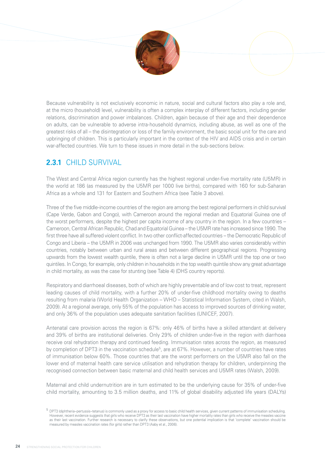

Because vulnerability is not exclusively economic in nature, social and cultural factors also play a role and, at the micro (household) level, vulnerability is often a complex interplay of different factors, including gender relations, discrimination and power imbalances. Children, again because of their age and their dependence on adults, can be vulnerable to adverse intra-household dynamics, including abuse, as well as one of the greatest risks of all – the disintegration or loss of the family environment, the basic social unit for the care and upbringing of children. This is particularly important in the context of the HIV and AIDS crisis and in certain war-affected countries. We turn to these issues in more detail in the sub-sections below.

## **2.3.1** CHILD SURVIVAL

The West and Central Africa region currently has the highest regional under-five mortality rate (U5MR) in the world at 186 (as measured by the U5MR per 1000 live births), compared with 160 for sub-Saharan Africa as a whole and 131 for Eastern and Southern Africa (see Table 3 above).

Three of the five middle-income countries of the region are among the best regional performers in child survival (Cape Verde, Gabon and Congo), with Cameroon around the regional median and Equatorial Guinea one of the worst performers, despite the highest per capita income of any country in the region. In a few countries – Cameroon, Central African Republic, Chad and Equatorial Guinea – the U5MR rate has increased since 1990. The first three have all suffered violent conflict. In two other conflict-affected countries – the Democratic Republic of Congo and Liberia – the U5MR in 2006 was unchanged from 1990. The U5MR also varies considerably within countries, notably between urban and rural areas and between different geographical regions. Progressing upwards from the lowest wealth quintile, there is often not a large decline in U5MR until the top one or two quintiles. In Congo, for example, only children in households in the top wealth quintile show any great advantage in child mortality, as was the case for stunting (see Table 4) (DHS country reports).

Respiratory and diarrhoeal diseases, both of which are highly preventable and of low cost to treat, represent leading causes of child mortality, with a further 20% of under-five childhood mortality owing to deaths resulting from malaria (World Health Organization - WHO - Statistical Information System, cited in Walsh, 2009). At a regional average, only 55% of the population has access to improved sources of drinking water, and only 36% of the population uses adequate sanitation facilities (UNICEF, 2007).

Antenatal care provision across the region is 67%; only 46% of births have a skilled attendant at delivery and 39% of births are institutional deliveries. Only 29% of children under-five in the region with diarrhoea receive oral rehydration therapy and continued feeding. Immunisation rates across the region, as measured by completion of DPT3 in the vaccination schedule<sup>5</sup>, are at 67%. However, a number of countries have rates of immunisation below 60%. Those countries that are the worst performers on the U5MR also fall on the lower end of maternal health care service utilisation and rehydration therapy for children, underpinning the recognised connection between basic maternal and child health services and U5MR rates (Walsh, 2009).

Maternal and child undernutrition are in turn estimated to be the underlying cause for 35% of under-five child mortality, amounting to 3.5 million deaths, and 11% of global disability adjusted life years (DALYs)

 $^{\rm 5}$  DPT3 (diphtheria-pertussis-tetanus) is commonly used as a proxy for access to basic child health services, given current patterns of immunisation scheduling. However, recent evidence suggests that girls who receive DPT3 as their last vaccination have higher mortality rates than girls who receive the measles vaccine as their last vaccination. Further research is necessary to clarify these observations, but one potential implication is that 'complete' vaccination should be measured by measles vaccination rates (for girls) rather than DPT3 (Aaby et al., 2006).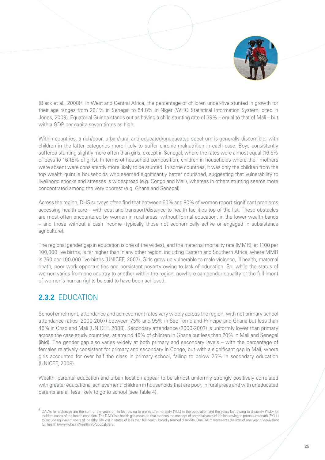

(Black et al., 2008)<sup>6</sup>. In West and Central Africa, the percentage of children under-five stunted in growth for their age ranges from 20.1% in Senegal to 54.8% in Niger (WHO Statistical Information System, cited in Jones, 2009). Equatorial Guinea stands out as having a child stunting rate of 39% – equal to that of Mali – but with a GDP per capita seven times as high.

Within countries, a rich/poor, urban/rural and educated/uneducated spectrum is generally discernible, with children in the latter categories more likely to suffer chronic malnutrition in each case. Boys consistently suffered stunting slightly more often than girls, except in Senegal, where the rates were almost equal (16.5% of boys to 16.15% of girls). In terms of household composition, children in households where their mothers were absent were consistently more likely to be stunted. In some countries, it was only the children from the top wealth quintile households who seemed significantly better nourished, suggesting that vulnerability to livelihood shocks and stresses is widespread (e.g. Congo and Mali), whereas in others stunting seems more concentrated among the very poorest (e.g. Ghana and Senegal).

Across the region, DHS surveys often find that between 50% and 80% of women report significant problems accessing health care – with cost and transport/distance to health facilities top of the list. These obstacles are most often encountered by women in rural areas, without formal education, in the lower wealth bands – and those without a cash income (typically those not economically active or engaged in subsistence agriculture).

The regional gender gap in education is one of the widest, and the maternal mortality rate (MMR), at 1100 per 100,000 live births, is far higher than in any other region, including Eastern and Southern Africa, where MMR is 760 per 100,000 live births (UNICEF, 2007). Girls grow up vulnerable to male violence, ill health, maternal death, poor work opportunities and persistent poverty owing to lack of education. So, while the status of women varies from one country to another within the region, nowhere can gender equality or the fulfilment of women's human rights be said to have been achieved.

## **2.3.2** EDUCATION

School enrolment, attendance and achievement rates vary widely across the region, with net primary school attendance ratios (2000-2007) between 75% and 95% in São Tomé and Príncipe and Ghana but less than 45% in Chad and Mali (UNICEF, 2008). Secondary attendance (2000-2007) is uniformly lower than primary across the case study countries, at around 45% of children in Ghana but less than 20% in Mali and Senegal (ibid). The gender gap also varies widely at both primary and secondary levels – with the percentage of females relatively consistent for primary and secondary in Congo, but with a significant gap in Mali, where girls accounted for over half the class in primary school, falling to below 25% in secondary education (UNICEF, 2008).

Wealth, parental education and urban location appear to be almost uniformly strongly positively correlated with greater educational achievement: children in households that are poor, in rural areas and with uneducated parents are all less likely to go to school (see Table 4).

<sup>6</sup> DALYs for a disease are the sum of the years of life lost owing to premature mortality (YLL) in the population and the years lost owing to disability (YLD) for incident cases of the health condition. The DALY is a health gap measure that extends the concept of potential years of life lost owing to premature death (PYLL) to include equivalent years of 'healthy' life lost in states of less than full health, broadly termed disability. One DALY represents the loss of one year of equivalent full health (www.who.int/healthinfo/boddaly/en/).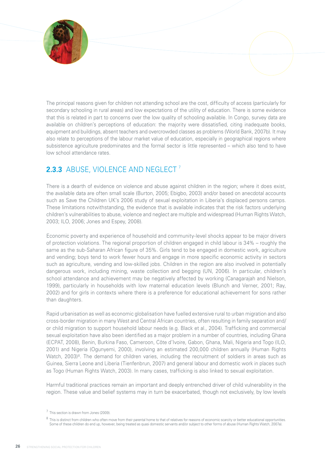

## **2.3.3** ABUSE, VIOLENCE AND NEGLECT<sup>7</sup>

There is a dearth of evidence on violence and abuse against children in the region; where it does exist, the available data are often small scale (Burton, 2005; Ebigbo, 2003) and/or based on anecdotal accounts such as Save the Children UK's 2006 study of sexual exploitation in Liberia's displaced persons camps. These limitations notwithstanding, the evidence that is available indicates that the risk factors underlying children's vulnerabilities to abuse, violence and neglect are multiple and widespread (Human Rights Watch, 2003; ILO, 2006; Jones and Espey, 2008).

Economic poverty and experience of household and community-level shocks appear to be major drivers of protection violations. The regional proportion of children engaged in child labour is 34% – roughly the same as the sub-Saharan African figure of 35%. Girls tend to be engaged in domestic work, agriculture and vending; boys tend to work fewer hours and engage in more specific economic activity in sectors such as agriculture, vending and low-skilled jobs. Children in the region are also involved in potentially dangerous work, including mining, waste collection and begging (UN, 2006). In particular, children's school attendance and achievement may be negatively affected by working (Canagaraiah and Nielson, 1999), particularly in households with low maternal education levels (Blunch and Verner, 2001; Ray, 2002) and for girls in contexts where there is a preference for educational achievement for sons rather than daughters.

Rapid urbanisation as well as economic globalisation have fuelled extensive rural to urban migration and also cross-border migration in many West and Central African countries, often resulting in family separation and/ or child migration to support household labour needs (e.g. Black et al., 2004). Trafficking and commercial sexual exploitation have also been identified as a major problem in a number of countries, including Ghana (ECPAT, 2008), Benin, Burkina Faso, Cameroon, Côte d'Ivoire, Gabon, Ghana, Mali, Nigeria and Togo (ILO, 2001) and Nigeria (Ogunyemi, 2000), involving an estimated 200,000 children annually (Human Rights Watch, 2003)<sup>8</sup>. The demand for children varies, including the recruitment of soldiers in areas such as Guinea, Sierra Leone and Liberia (Tienfenbrun, 2007) and general labour and domestic work in places such as Togo (Human Rights Watch, 2003). In many cases, trafficking is also linked to sexual exploitation.

Harmful traditional practices remain an important and deeply entrenched driver of child vulnerability in the region. These value and belief systems may in turn be exacerbated, though not exclusively, by low levels

<sup>7</sup> This section is drawn from Jones (2009).

<sup>&</sup>lt;sup>8</sup> This is distinct from children who often move from their parental home to that of relatives for reasons of economic scarcity or better educational opportunities. Some of these children do end up, however, being treated as quasi domestic servants and/or subject to other forms of abuse (Human Rights Watch, 2007a).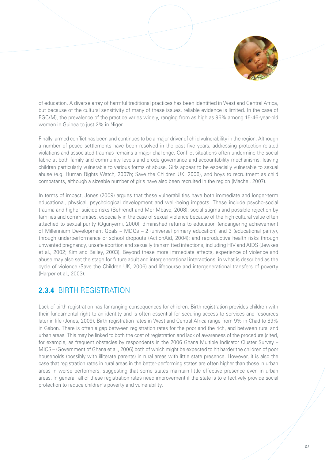of education. A diverse array of harmful traditional practices has been identified in West and Central Africa, but because of the cultural sensitivity of many of these issues, reliable evidence is limited. In the case of FGC/M), the prevalence of the practice varies widely, ranging from as high as 96% among 15-46-year-old women in Guinea to just 2% in Niger.

Finally, armed conflict has been and continues to be a major driver of child vulnerability in the region. Although a number of peace settlements have been resolved in the past five years, addressing protection-related violations and associated traumas remains a major challenge. Conflict situations often undermine the social fabric at both family and community levels and erode governance and accountability mechanisms, leaving children particularly vulnerable to various forms of abuse. Girls appear to be especially vulnerable to sexual abuse (e.g. Human Rights Watch, 2007b; Save the Children UK, 2006), and boys to recruitment as child combatants, although a sizeable number of girls have also been recruited in the region (Machel, 2007).

In terms of impact, Jones (2009) argues that these vulnerabilities have both immediate and longer-term educational, physical, psychological development and well-being impacts. These include psycho-social trauma and higher suicide risks (Behrendt and Mor Mbaye, 2008); social stigma and possible rejection by families and communities, especially in the case of sexual violence because of the high cultural value often attached to sexual purity (Ogunyemi, 2000); diminished returns to education (endangering achievement of Millennium Development Goals – MDGs – 2 (universal primary education) and 3 (educational parity), through underperformance or school dropouts (ActionAid, 2004); and reproductive health risks through unwanted pregnancy, unsafe abortion and sexually transmitted infections, including HIV and AIDS (Jewkes et al., 2002; Kim and Bailey, 2003). Beyond these more immediate effects, experience of violence and abuse may also set the stage for future adult and intergenerational interactions, in what is described as the cycle of violence (Save the Children UK, 2006) and lifecourse and intergenerational transfers of poverty (Harper et al., 2003).

## **2.3.4** BIRTH REGISTRATION

Lack of birth registration has far-ranging consequences for children. Birth registration provides children with their fundamental right to an identity and is often essential for securing access to services and resources later in life (Jones, 2009). Birth registration rates in West and Central Africa range from 9% in Chad to 89% in Gabon. There is often a gap between registration rates for the poor and the rich, and between rural and urban areas. This may be linked to both the cost of registration and lack of awareness of the procedure (cited, for example, as frequent obstacles by respondents in the 2006 Ghana Multiple Indicator Cluster Survey – MICS – (Government of Ghana et al., 2006) both of which might be expected to hit harder the children of poor households (possibly with illiterate parents) in rural areas with little state presence. However, it is also the case that registration rates in rural areas in the better-performing states are often higher than those in urban areas in worse performers, suggesting that some states maintain little effective presence even in urban areas. In general, all of these registration rates need improvement if the state is to effectively provide social protection to reduce children's poverty and vulnerability.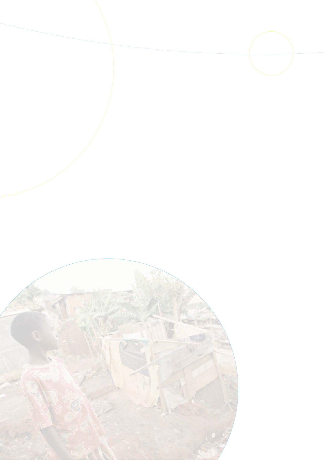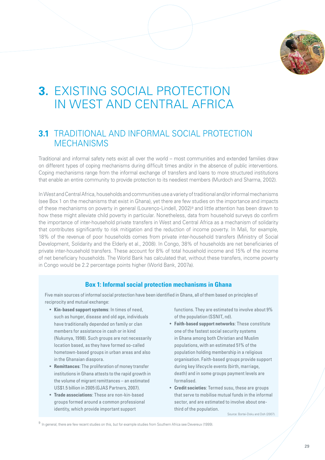

# **3.** EXISTING SOCIAL PROTECTION IN WEST AND CENTRAL AFRICA

# **3.1** TRADITIONAL AND INFORMAL SOCIAL PROTECTION **MECHANISMS**

Traditional and informal safety nets exist all over the world – most communities and extended families draw on different types of coping mechanisms during difficult times and/or in the absence of public interventions. Coping mechanisms range from the informal exchange of transfers and loans to more structured institutions that enable an entire community to provide protection to its neediest members (Murdoch and Sharma, 2002).

In West and Central Africa, households and communities use a variety of traditional and/or informal mechanisms (see Box 1 on the mechanisms that exist in Ghana), yet there are few studies on the importance and impacts of these mechanisms on poverty in general (Lourenço-Lindell, 2002)9 and little attention has been drawn to how these might alleviate child poverty in particular. Nonetheless, data from household surveys do confirm the importance of inter-household private transfers in West and Central Africa as a mechanism of solidarity that contributes significantly to risk mitigation and the reduction of income poverty. In Mali, for example, 18% of the revenue of poor households comes from private inter-household transfers (Ministry of Social Development, Solidarity and the Elderly et al., 2008). In Congo, 38% of households are net beneficiaries of private inter-household transfers. These account for 8% of total household income and 15% of the income of net beneficiary households. The World Bank has calculated that, without these transfers, income poverty in Congo would be 2.2 percentage points higher (World Bank, 2007a).

### **Box 1: Informal social protection mechanisms in Ghana**

Five main sources of informal social protection have been identified in Ghana, all of them based on principles of reciprocity and mutual exchange:

- **Kin-based support systems:** In times of need, such as hunger, disease and old age, individuals have traditionally depended on family or clan members for assistance in cash or in kind (Nukunya, 1998). Such groups are not necessarily location based, as they have formed so-called hometown-based groups in urban areas and also in the Ghanaian diaspora.
- **Remittances:** The proliferation of money transfer institutions in Ghana attests to the rapid growth in the volume of migrant remittances – an estimated US\$1.5 billion in 2005 (GJAS Partners, 2007).
- **Trade associations:** These are non-kin-based groups formed around a common professional identity, which provide important support

functions. They are estimated to involve about 9% of the population (SSNIT, nd).

- **Faith-based support networks: These constitute** one of the fastest social security systems in Ghana among both Christian and Muslim populations, with an estimated 51% of the population holding membership in a religious organisation. Faith-based groups provide support during key lifecycle events (birth, marriage, death) and in some groups payment levels are formalised.
- **Credit societies**: Termed susu, these are groups that serve to mobilise mutual funds in the informal sector, and are estimated to involve about onethird of the population.

Source: Bortei-Doku and Doh (2007).

<sup>9</sup> In general, there are few recent studies on this, but for example studies from Southern Africa see Devereux (1999).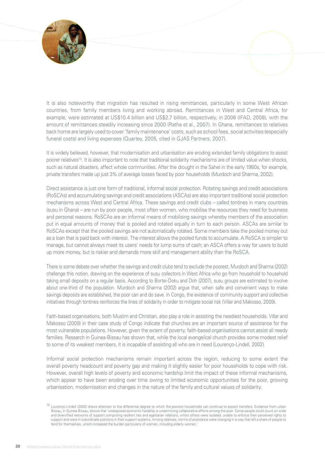

It is also noteworthy that migration has resulted in rising remittances, particularly in some West African countries, from family members living and working abroad. Remittances in West and Central Africa, for example, were estimated at US\$10.4 billion and US\$2.7 billion, respectively, in 2006 (IFAD, 2008), with the amount of remittances steadily increasing since 2000 (Ratha et al., 2007). In Ghana, remittances to relatives back home are largely used to cover 'family maintenance' costs, such as school fees, social activities (especially funeral costs) and living expenses (Quartey, 2005, cited in GJAS Partners, 2007).

It is widely believed, however, that modernisation and urbanisation are eroding extended family obligations to assist poorer relatives<sup>10</sup>. It is also important to note that traditional solidarity mechanisms are of limited value when shocks. such as natural disasters, affect whole communities. After the drought in the Sahel in the early 1980s, for example, private transfers made up just 3% of average losses faced by poor households (Murdoch and Sharma, 2002).

Direct assistance is just one form of traditional, informal social protection. Rotating savings and credit associations (RoSCAs) and accumulating savings and credit associations (ASCAs) are also important traditional social protection mechanisms across West and Central Africa. These savings and credit clubs – called tontines in many countries (susu in Ghana) – are run by poor people, most often women, who mobilise the resources they need for business and personal reasons. RoSCAs are an informal means of mobilising savings whereby members of the association put in equal amounts of money that is pooled and rotated equally in turn to each person. ASCAs are similar to RoSCAs except that the pooled savings are not automatically rotated. Some members take the pooled money out as a loan that is paid back with interest. The interest allows the pooled funds to accumulate. A RoSCA is simpler to manage, but cannot always meet its users' needs for lump sums of cash; an ASCA offers a way for users to build up more money, but is riskier and demands more skill and management ability than the RoSCA.

There is some debate over whether the savings and credit clubs tend to exclude the poorest. Murdoch and Sharma (2002) challenge this notion, drawing on the experience of susu collectors in West Africa who go from household to household taking small deposits on a regular basis. According to Bortei-Doku and Doh (2007), susu groups are estimated to involve about one-third of the population. Murdoch and Sharma (2002) argue that, when safe and convenient ways to make savings deposits are established, the poor can and do save. In Congo, the existence of community support and collective initiatives through tontines reinforces the lines of solidarity in order to mitigate social risk (Villar and Makosso, 2009).

Faith-based organisations, both Muslim and Christian, also play a role in assisting the neediest households. Villar and Makosso (2009) in their case study of Congo indicate that churches are an important source of assistance for the most vulnerable populations. However, given the extent of poverty, faith-based organisations cannot assist all needy families. Research in Guinea-Bissau has shown that, while the local evangelical church provides some modest relief to some of its weakest members, it is incapable of assisting all who are in need (Lourenco-Lindell, 2002).

Informal social protection mechanisms remain important across the region, reducing to some extent the overall poverty headcount and poverty gap and making it slightly easier for poor households to cope with risk. However, overall high levels of poverty and economic hardship limit the impact of these informal mechanisms, which appear to have been eroding over time owing to limited economic opportunities for the poor, growing urbanisation, modernisation and changes in the nature of the family and cultural values of solidarity.

<sup>&</sup>lt;sup>10</sup> Lourenço-Lindell (2002) draws attention to the differential degree to which the poorest households can continue to expect transfers. Evidence from urban Bissau, in Guinea-Bissau, shows that 'widespread economic hardship is undermining collaborative efforts among the poor. Some people could count on wide and diversified networks of support comprising resilient ties and egalitarian relations, whilst others were isolated, unable to enforce their perceived rights to support and were in subordinate positions in their support systems. Among relatives, norms of assistance were changing in a way that left a share of people to fend for themselves, which increased the burden particularly of women, including elderly women.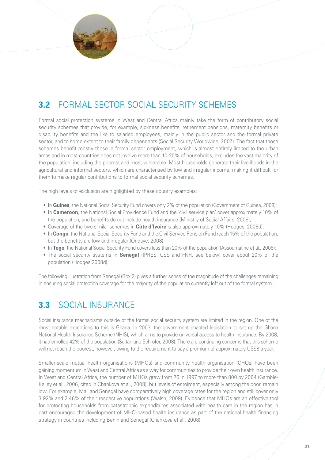# **3.2** FORMAL SECTOR SOCIAL SECURITY SCHEMES

Formal social protection systems in West and Central Africa mainly take the form of contributory social security schemes that provide, for example, sickness benefits, retirement pensions, maternity benefits or disability benefits and the like to salaried employees, mainly in the public sector and the formal private sector, and to some extent to their family dependents (Social Security Worldwide, 2007). The fact that these schemes benefit mostly those in formal sector employment, which is almost entirely limited to the urban areas and in most countries does not involve more than 10-20% of households, excludes the vast majority of the population, including the poorest and most vulnerable. Most households generate their livelihoods in the agricultural and informal sectors, which are characterised by low and irregular income, making it difficult for them to make regular contributions to formal social security schemes.

The high levels of exclusion are highlighted by these country examples:

- In **Guinea**, the National Social Security Fund covers only 2% of the population (Government of Guinea, 2008);
- In **Cameroon**, the National Social Providence Fund and the 'civil service plan' cover approximately 10% of the population, and benefits do not include health insurance (Ministry of Social Affairs, 2008);
- **•** Coverage of the two similar schemes in **Côte d'Ivoire** is also approximately 10% (Hodges, 2008d);
- **In Congo**, the National Social Security Fund and the Civil Service Pension Fund reach 15% of the population, but the benefits are low and irregular (Ondaye, 2008);
- In Togo, the National Social Security Fund covers less than 20% of the population (Assoumatine et al., 2008);
- The social security systems in **Senegal** (IPRES, CSS and FNR, see below) cover about 20% of the population (Hodges 2008d).

The following illustration from Senegal (Box 2) gives a further sense of the magnitude of the challenges remaining in ensuring social protection coverage for the majority of the population currently left out of the formal system.

## **3.3** SOCIAL INSURANCE

Social insurance mechanisms outside of the formal social security system are limited in the region. One of the most notable exceptions to this is Ghana. In 2003, the government enacted legislation to set up the Ghana National Health Insurance Scheme (NHIS), which aims to provide universal access to health insurance. By 2008, it had enrolled 42% of the population (Sultan and Schrofer, 2008). There are continuing concerns that this scheme will not reach the poorest, however, owing to the requirement to pay a premium of approximately US\$8 a year.

Smaller-scale mutual health organisations (MHOs) and community health organisation (CHOs) have been gaining momentum in West and Central Africa as a way for communities to provide their own health insurance. In West and Central Africa, the number of MHOs grew from 76 in 1997 to more than 800 by 2004 (Gamble-Kelley et al., 2006, cited in Chankova et al., 2008), but levels of enrolment, especially among the poor, remain low. For example, Mali and Senegal have comparatively high coverage rates for the region and still cover only 3.92% and 2.46% of their respective populations (Walsh, 2009). Evidence that MHOs are an effective tool for protecting households from catastrophic expenditures associated with health care in the region has in part encouraged the development of MHO-based health insurance as part of the national health financing strategy in countries including Benin and Senegal (Chankova et al., 2008).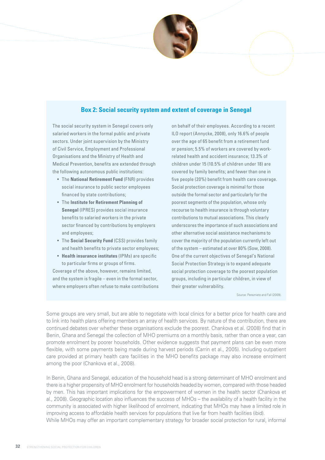### **Box 2: Social security system and extent of coverage in Senegal**

The social security system in Senegal covers only salaried workers in the formal public and private sectors. Under joint supervision by the Ministry of Civil Service, Employment and Professional Organisations and the Ministry of Health and Medical Prevention, benefits are extended through the following autonomous public institutions:

- **The National Retirement Fund (FNR) provides** social insurance to public sector employees financed by state contributions;
- **The Institute for Retirement Planning of Senegal** (IPRES) provides social insurance benefits to salaried workers in the private sector financed by contributions by employers and employees;
- The **Social Security Fund** (CSS) provides family and health benefits to private sector employees;
- **Health insurance institutes (IPMs) are specific** to particular firms or groups of firms.

Coverage of the above, however, remains limited, and the system is fragile – even in the formal sector, where employers often refuse to make contributions on behalf of their employees. According to a recent ILO report (Annycke, 2008), only 16.6% of people over the age of 65 benefit from a retirement fund or pension; 5.5% of workers are covered by workrelated health and accident insurance; 13.3% of children under 15 (10.5% of children under 18) are covered by family benefits; and fewer than one in five people (20%) benefit from health care coverage. Social protection coverage is minimal for those outside the formal sector and particularly for the poorest segments of the population, whose only recourse to health insurance is through voluntary contributions to mutual associations. This clearly underscores the importance of such associations and other alternative social assistance mechanisms to cover the majority of the population currently left out of the system – estimated at over 80% (Sow, 2008). One of the current objectives of Senegal's National Social Protection Strategy is to expand adequate social protection coverage to the poorest population groups, including in particular children, in view of their greater vulnerability.

Source: Pereznieto and Fall (2009).

Some groups are very small, but are able to negotiate with local clinics for a better price for health care and to link into health plans offering members an array of health services. By nature of the contribution, there are continued debates over whether these organisations exclude the poorest. Chankova et al. (2008) find that in Benin, Ghana and Senegal the collection of MHO premiums on a monthly basis, rather than once a year, can promote enrolment by poorer households. Other evidence suggests that payment plans can be even more flexible, with some payments being made during harvest periods (Carrin et al., 2005). Including outpatient care provided at primary health care facilities in the MHO benefits package may also increase enrolment among the poor (Chankova et al., 2008).

In Benin, Ghana and Senegal, education of the household head is a strong determinant of MHO enrolment and there is a higher propensity of MHO enrolment for households headed by women, compared with those headed by men. This has important implications for the empowerment of women in the health sector (Chankova et al., 2008). Geographic location also influences the success of MHOs – the availability of a health facility in the community is associated with higher likelihood of enrolment, indicating that MHOs may have a limited role in improving access to affordable health services for populations that live far from health facilities (ibid). While MHOs may offer an important complementary strategy for broader social protection for rural, informal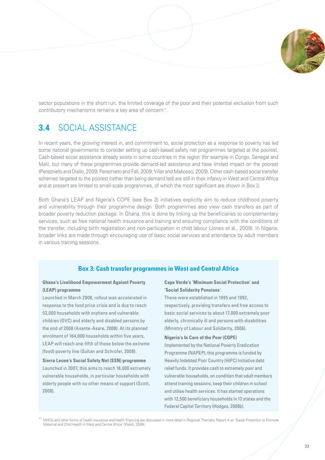

sector populations in the short run, the limited coverage of the poor and their potential exclusion from such contributory mechanisms remains a key area of concern<sup>11</sup>.

#### SOCIAL ASSISTANCE  $3.4$

In recent years, the growing interest in, and commitment to, social protection as a response to poverty has led some national governments to consider setting up cash-based safety net programmes targeted at the poorest. Cash-based social assistance already exists in some countries in the region (for example in Congo, Senegal and Mali), but many of these programmes provide demand-led assistance and have limited impact on the poorest (Pereznieto and Diallo, 2009; Pereznieto and Fall, 2009; Villar and Makosso, 2009). Other cash-based social transfer schemes targeted to the poorest (rather than being demand led) are still in their infancy in West and Central Africa and at present are limited to small-scale programmes, of which the most significant are shown in Box 3.

Both Ghana's LEAP and Nigeria's COPE (see Box 3) initiatives explicitly aim to reduce childhood poverty and vulnerability through their programme design. Both programmes also view cash transfers as part of broader poverty reduction package. In Ghana, this is done by linking up the beneficiaries to complementary services, such as free national health insurance and training and ensuring compliance with the conditions of the transfer, including birth registration and non-participation in child labour (Jones et al., 2009). In Nigeria, broader links are made through encouraging use of basic social services and attendance by adult members in various training sessions.

### **Box 3: Cash transfer programmes in West and Central Africa**

### **Ghana's Livelihood Empowerment Against Poverty** (LEAP) programme

Launched in March 2008, rollout was accelerated in response to the food price crisis and is due to reach 53,000 households with orphans and vulnerable children (OVC) and elderly and disabled persons by the end of 2008 (Asante-Asare, 2008). At its planned enrolment of 164,000 households within five years. LEAP will reach one-fifth of those below the extreme (food) poverty line (Sultan and Schrofer, 2008).

Sierra Leone's Social Safety Net (SSN) programme Launched in 2007, this aims to reach 16,000 extremely vulnerable households, in particular households with elderly people with no other means of support (Scott,  $2008$ ).

### **Cape Verde's 'Minimum Social Protection' and** 'Social Solidarity Pensions'

These were established in 1995 and 1992.

respectively, providing transfers and free access to basic social services to about 17,000 extremely poor elderly, chronically ill and persons with disabilities (Ministry of Labour and Solidarity, 2006).

### **Nigeria's In Care of the Poor (COPE)**

Implemented by the National Poverty Eradication Programme (NAPEP), this programme is funded by Heavily Indebted Poor Country (HIPC) Initiative debt relief funds. It provides cash to extremely poor and vulnerable households, on condition that adult members attend training sessions, keep their children in school and utilise health services. It has started operations with 12.500 beneficiary households in 12 states and the Federal Capital Territory (Hodges, 2008b).

<sup>11</sup> MHOs and other forms of health insurance and health financing are discussed in more detail in Regional Thematic Report 4 on 'Social Protection to Promote Maternal and Child Health in West and Central Africa' (Walsh, 2009)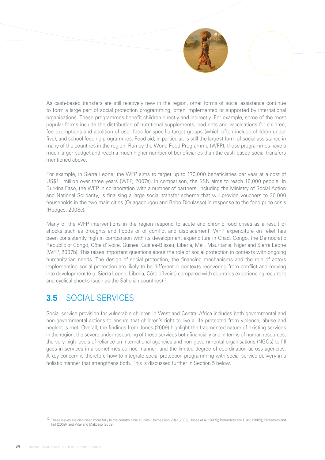As cash-based transfers are still relatively new in the region, other forms of social assistance continue to form a large part of social protection programming, often implemented or supported by international organisations. These programmes benefit children directly and indirectly. For example, some of the most popular forms include the distribution of nutritional supplements, bed nets and vaccinations for children; fee exemptions and abolition of user fees for specific target groups (which often include children under five); and school feeding programmes. Food aid, in particular, is still the largest form of social assistance in many of the countries in the region. Run by the World Food Programme (WFP), these programmes have a much larger budget and reach a much higher number of beneficiaries than the cash-based social transfers mentioned above.

For example, in Sierra Leone, the WFP aims to target up to 170,000 beneficiaries per year at a cost of US\$11 million over three years (WFP, 2007a). In comparison, the SSN aims to reach 16,000 people. In Burkina Faso, the WFP in collaboration with a number of partners, including the Ministry of Social Action and National Solidarity, is finalising a large social transfer scheme that will provide vouchers to 30,000 households in the two main cities (Ouagadougou and Bobo Dioulasso) in response to the food price crisis (Hodges, 2008c).

Many of the WFP interventions in the region respond to acute and chronic food crises as a result of shocks such as droughts and floods or of conflict and displacement. WFP expenditure on relief has been consistently high in comparison with its development expenditure in Chad, Congo, the Democratic Republic of Congo, Côte d'Ivoire, Guinea, Guinea-Bissau, Liberia, Mali, Mauritania, Niger and Sierra Leone (WFP, 2007b). This raises important questions about the role of social protection in contexts with ongoing humanitarian needs. The design of social protection, the financing mechanisms and the role of actors implementing social protection are likely to be different in contexts recovering from conflict and moving into development (e.g. Sierra Leone, Liberia, Côte d'Ivoire) compared with countries experiencing recurrent and cyclical shocks (such as the Sahelian countries)<sup>12</sup>.

# **3.5** SOCIAL SERVICES

Social service provision for vulnerable children in West and Central Africa includes both governmental and non-governmental actions to ensure that children's right to live a life protected from violence, abuse and neglect is met. Overall, the findings from Jones (2009) highlight the fragmented nature of existing services in the region; the severe under-resourcing of these services both financially and in terms of human resources; the very high levels of reliance on international agencies and non-governmental organisations (NGOs) to fill gaps in services in a sometimes ad hoc manner; and the limited degree of coordination across agencies. A key concern is therefore how to integrate social protection programming with social service delivery in a holistic manner that strengthens both. This is discussed further in Section 5 below.

<sup>&</sup>lt;sup>12</sup> These issues are discussed more fully in the country case studies: Holmes and Villar (2009); Jones et al. (2009); Pereznieto and Diallo (2009); Pereznieto and Fall (2009); and Villar and Makosso (2009).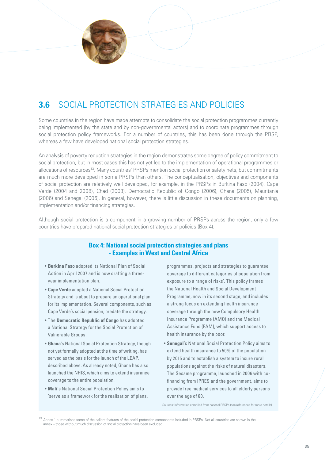#### SOCIAL PROTECTION STRATEGIES AND POLICIES  $3.6$

Some countries in the region have made attempts to consolidate the social protection programmes currently being implemented (by the state and by non-governmental actors) and to coordinate programmes through social protection policy frameworks. For a number of countries, this has been done through the PRSP, whereas a few have developed national social protection strategies.

An analysis of poverty reduction strategies in the region demonstrates some degree of policy commitment to social protection, but in most cases this has not yet led to the implementation of operational programmes or allocations of resources<sup>13</sup>. Many countries' PRSPs mention social protection or safety nets, but commitments are much more developed in some PRSPs than others. The conceptualisation, objectives and components of social protection are relatively well developed, for example, in the PRSPs in Burkina Faso (2004), Cape Verde (2004 and 2008), Chad (2003), Democratic Republic of Congo (2006), Ghana (2005), Mauritania (2006) and Senegal (2006). In general, however, there is little discussion in these documents on planning, implementation and/or financing strategies.

Although social protection is a component in a growing number of PRSPs across the region, only a few countries have prepared national social protection strategies or policies (Box 4).

### **Box 4: National social protection strategies and plans** - Examples in West and Central Africa

- Burkina Faso adopted its National Plan of Social Action in April 2007 and is now drafting a threeyear implementation plan.
- Cape Verde adopted a National Social Protection Strategy and is about to prepare an operational plan for its implementation. Several components, such as Cape Verde's social pension, predate the strategy.
- The Democratic Republic of Congo has adopted a National Strategy for the Social Protection of Vulnerable Groups.
- Ghana's National Social Protection Strategy, though not yet formally adopted at the time of writing, has served as the basis for the launch of the LEAP, described above. As already noted, Ghana has also launched the NHIS, which aims to extend insurance coverage to the entire population.
- . Mali's National Social Protection Policy aims to 'serve as a framework for the realisation of plans,

programmes, projects and strategies to guarantee coverage to different categories of population from exposure to a range of risks'. This policy frames the National Health and Social Development Programme, now in its second stage, and includes a strong focus on extending health insurance coverage through the new Compulsory Health Insurance Programme (AMO) and the Medical Assistance Fund (FAM), which support access to health insurance by the poor.

• Senegal's National Social Protection Policy aims to extend health insurance to 50% of the population by 2015 and to establish a system to insure rural populations against the risks of natural disasters. The Sesame programme, launched in 2006 with cofinancing from IPRES and the government, aims to provide free medical services to all elderly persons over the age of 60.

Sources: Information compiled from national PRSPs (see references for more details).

<sup>13</sup> Annex 1 summarises some of the salient features of the social protection components included in PRSPs. Not all countries are shown in the annex - those without much discussion of social protection have been excluded.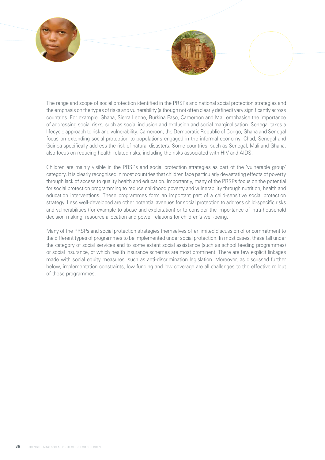

The range and scope of social protection identified in the PRSPs and national social protection strategies and the emphasis on the types of risks and vulnerability (although not often clearly defined) vary significantly across countries. For example, Ghana, Sierra Leone, Burkina Faso, Cameroon and Mali emphasise the importance of addressing social risks, such as social inclusion and exclusion and social marginalisation. Senegal takes a lifecycle approach to risk and vulnerability. Cameroon, the Democratic Republic of Congo, Ghana and Senegal focus on extending social protection to populations engaged in the informal economy. Chad, Senegal and Guinea specifically address the risk of natural disasters. Some countries, such as Senegal, Mali and Ghana, also focus on reducing health-related risks, including the risks associated with HIV and AIDS.

Children are mainly visible in the PRSPs and social protection strategies as part of the 'vulnerable group' category. It is clearly recognised in most countries that children face particularly devastating effects of poverty through lack of access to quality health and education. Importantly, many of the PRSPs focus on the potential for social protection programming to reduce childhood poverty and vulnerability through nutrition, health and education interventions. These programmes form an important part of a child-sensitive social protection strategy. Less well-developed are other potential avenues for social protection to address child-specific risks and vulnerabilities (for example to abuse and exploitation) or to consider the importance of intra-household decision making, resource allocation and power relations for children's well-being.

Many of the PRSPs and social protection strategies themselves offer limited discussion of or commitment to the different types of programmes to be implemented under social protection. In most cases, these fall under the category of social services and to some extent social assistance (such as school feeding programmes) or social insurance, of which health insurance schemes are most prominent. There are few explicit linkages made with social equity measures, such as anti-discrimination legislation. Moreover, as discussed further below, implementation constraints, low funding and low coverage are all challenges to the effective rollout of these programmes.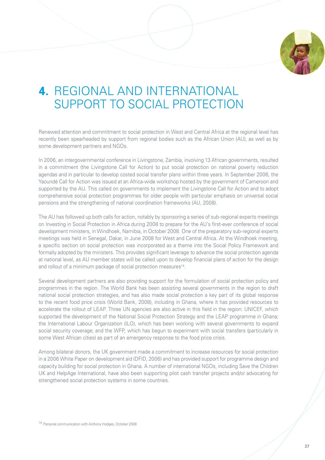

# **4.** REGIONAL AND INTERNATIONAL SUPPORT TO SOCIAL PROTECTION

Renewed attention and commitment to social protection in West and Central Africa at the regional level has recently been spearheaded by support from regional bodies such as the African Union (AU), as well as by some development partners and NGOs.

In 2006, an intergovernmental conference in Livingstone, Zambia, involving 13 African governments, resulted in a commitment (the Livingstone Call for Action) to put social protection on national poverty reduction agendas and in particular to develop costed social transfer plans within three years. In September 2006, the Yaoundé Call for Action was issued at an Africa-wide workshop hosted by the government of Cameroon and supported by the AU. This called on governments to implement the Livingstone Call for Action and to adopt comprehensive social protection programmes for older people with particular emphasis on universal social pensions and the strengthening of national coordination frameworks (AU, 2008).

The AU has followed up both calls for action, notably by sponsoring a series of sub-regional experts meetings on Investing in Social Protection in Africa during 2008 to prepare for the AU's first-ever conference of social development ministers, in Windhoek, Namibia, in October 2008. One of the preparatory sub-regional experts meetings was held in Senegal, Dakar, in June 2008 for West and Central Africa. At the Windhoek meeting, a specific section on social protection was incorporated as a theme into the Social Policy Framework and formally adopted by the ministers. This provides significant leverage to advance the social protection agenda at national level, as AU member states will be called upon to develop financial plans of action for the design and rollout of a minimum package of social protection measures $14$ .

Several development partners are also providing support for the formulation of social protection policy and programmes in the region. The World Bank has been assisting several governments in the region to draft national social protection strategies, and has also made social protection a key part of its global response to the recent food price crisis (World Bank, 2008), including in Ghana, where it has provided resources to accelerate the rollout of LEAP. Three UN agencies are also active in this field in the region: UNICEF, which supported the development of the National Social Protection Strategy and the LEAP programme in Ghana; the International Labour Organization (ILO), which has been working with several governments to expand social security coverage; and the WFP, which has begun to experiment with social transfers (particularly in some West African cities) as part of an emergency response to the food price crisis.

Among bilateral donors, the UK government made a commitment to increase resources for social protection in a 2006 White Paper on development aid (DFID, 2006) and has provided support for programme design and capacity building for social protection in Ghana. A number of international NGOs, including Save the Children UK and HelpAge International, have also been supporting pilot cash transfer projects and/or advocating for strengthened social protection systems in some countries.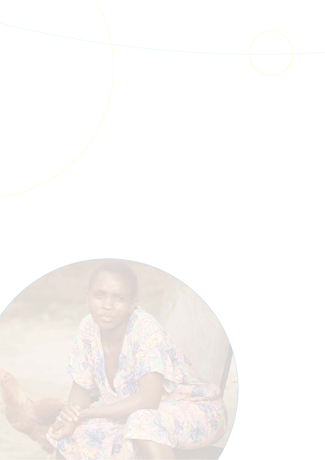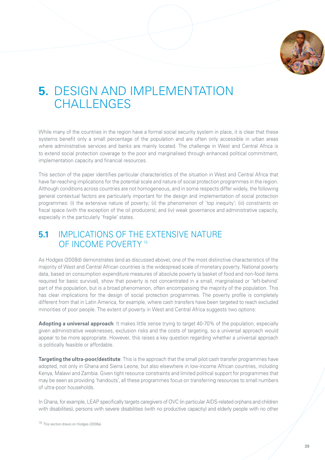

# **5. DESIGN AND IMPLEMENTATION** CHALLENGES

While many of the countries in the region have a formal social security system in place, it is clear that these systems benefit only a small percentage of the population and are often only accessible in urban areas where administrative services and banks are mainly located. The challenge in West and Central Africa is to extend social protection coverage to the poor and marginalised through enhanced political commitment, implementation capacity and financial resources.

This section of the paper identifies particular characteristics of the situation in West and Central Africa that have far-reaching implications for the potential scale and nature of social protection programmes in the region. Although conditions across countries are not homogeneous, and in some respects differ widely, the following general contextual factors are particularly important for the design and implementation of social protection programmes: (i) the extensive nature of poverty; (ii) the phenomenon of 'top inequity'; (iii) constraints on fiscal space (with the exception of the oil producers); and (iv) weak governance and administrative capacity, especially in the particularly 'fragile' states.

### $5.1$ **IMPLICATIONS OF THE EXTENSIVE NATURE** OF INCOME POVERTY<sup>15</sup>

As Hodges (2008d) demonstrates (and as discussed above), one of the most distinctive characteristics of the majority of West and Central African countries is the widespread scale of monetary poverty. National poverty data, based on consumption expenditure measures of absolute poverty (a basket of food and non-food items required for basic survival), show that poverty is not concentrated in a small, marginalised or 'left-behind' part of the population, but is a broad phenomenon, often encompassing the majority of the population. This has clear implications for the design of social protection programmes. The poverty profile is completely different from that in Latin America, for example, where cash transfers have been targeted to reach excluded minorities of poor people. The extent of poverty in West and Central Africa suggests two options:

Adopting a universal approach: It makes little sense trying to target 40-70% of the population, especially given administrative weaknesses, exclusion risks and the costs of targeting, so a universal approach would appear to be more appropriate. However, this raises a key question regarding whether a universal approach is politically feasible or affordable.

Targeting the ultra-poor/destitute: This is the approach that the small pilot cash transfer programmes have adopted, not only in Ghana and Sierra Leone, but also elsewhere in low-income African countries, including Kenya, Malawi and Zambia. Given tight resource constraints and limited political support for programmes that may be seen as providing 'handouts', all these programmes focus on transferring resources to small numbers of ultra-poor households.

In Ghana, for example, LEAP specifically targets caregivers of OVC (in particular AIDS-related orphans and children with disabilities), persons with severe disabilities (with no productive capacity) and elderly people with no other

<sup>15</sup> This section draws on Hodges (2008a).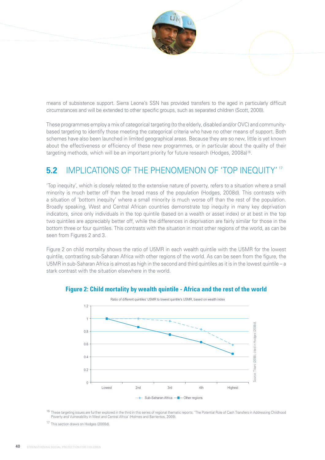

means of subsistence support. Sierra Leone's SSN has provided transfers to the aged in particularly difficult circumstances and will be extended to other specific groups, such as separated children (Scott, 2008).

These programmes employ a mix of categorical targeting (to the elderly, disabled and/or OVC) and communitybased targeting to identify those meeting the categorical criteria who have no other means of support. Both schemes have also been launched in limited geographical areas. Because they are so new, little is yet known about the effectiveness or efficiency of these new programmes, or in particular about the quality of their targeting methods, which will be an important priority for future research (Hodges, 2008a)<sup>16</sup>.

# **5.2** IMPLICATIONS OF THE PHENOMENON OF 'TOP INEQUITY' 17

'Top inequity', which is closely related to the extensive nature of poverty, refers to a situation where a small minority is much better off than the broad mass of the population (Hodges, 2008d). This contrasts with a situation of 'bottom inequity' where a small minority is much worse off than the rest of the population. Broadly speaking, West and Central African countries demonstrate top inequity in many key deprivation indicators, since only individuals in the top quintile (based on a wealth or asset index) or at best in the top two quintiles are appreciably better off, while the differences in deprivation are fairly similar for those in the bottom three or four quintiles. This contrasts with the situation in most other regions of the world, as can be seen from Figures 2 and 3.

Figure 2 on child mortality shows the ratio of U5MR in each wealth quintile with the U5MR for the lowest quintile, contrasting sub-Saharan Africa with other regions of the world. As can be seen from the figure, the U5MR in sub-Saharan Africa is almost as high in the second and third quintiles as it is in the lowest quintile – a stark contrast with the situation elsewhere in the world.



### **Figure 2: Child mortality by wealth quintile - Africa and the rest of the world**

<sup>16</sup> These targeting issues are further explored in the third in this series of regional thematic reports: 'The Potential Role of Cash Transfers in Addressing Childhood Poverty and Vulnerability in West and Central Africa' (Holmes and Barrientos, 2009).

17 This section draws on Hodges (2008d).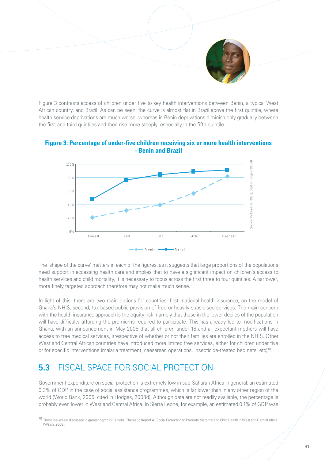

Figure 3 contrasts access of children under five to key health interventions between Benin, a typical West African country, and Brazil. As can be seen, the curve is almost flat in Brazil above the first quintile, where health service deprivations are much worse, whereas in Benin deprivations diminish only gradually between the first and third quintiles and then rise more steeply, especially in the fifth quintile.



**Figure 3: Percentage of under-five children receiving six or more health interventions - Benin and Brazil** 

The 'shape of the curve' matters in each of the figures, as it suggests that large proportions of the populations need support in accessing health care and implies that to have a significant impact on children's access to health services and child mortality, it is necessary to focus across the first three to four quintiles. A narrower, more finely targeted approach therefore may not make much sense.

In light of this, there are two main options for countries: first, national health insurance, on the model of Ghana's NHIS; second, tax-based public provision of free or heavily subsidised services. The main concern with the health insurance approach is the equity risk, namely that those in the lower deciles of the population will have difficulty affording the premiums required to participate. This has already led to modifications in Ghana, with an announcement in May 2008 that all children under 18 and all expectant mothers will have access to free medical services, irrespective of whether or not their families are enrolled in the NHIS. Other West and Central African countries have introduced more limited free services, either for children under five or for specific interventions (malaria treatment, caesarean operations, insecticide-treated bed nets, etc)18.

# **5.3** FISCAL SPACE FOR SOCIAL PROTECTION

Government expenditure on social protection is extremely low in sub-Saharan Africa in general: an estimated 0.3% of GDP in the case of social assistance programmes, which is far lower than in any other region of the world (World Bank, 2005, cited in Hodges, 2008d). Although data are not readily available, the percentage is probably even lower in West and Central Africa. In Sierra Leone, for example, an estimated 0.1% of GDP was

<sup>18</sup> These issues are discussed in greater depth in Regional Thematic Report 4: 'Social Protection to Promote Maternal and Child Health in West and Central Africa' (Walsh. 2009)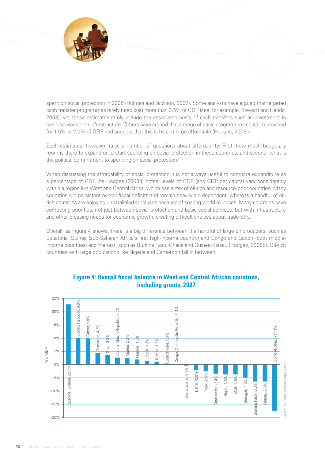

spent on social protection in 2006 (Holmes and Jackson, 2007). Some analysts have argued that targeted cash transfer programmes rarely need cost more than 0.5% of GDP (see, for example, Stewart and Handa, 2008), yet these estimates rarely include the associated costs of cash transfers such as investment in basic services or in infrastructure. Others have argued that a range of basic programmes could be provided for 1.5% to 2.0% of GDP and suggest that this is by and large affordable (Hodges, 2008d).

Such estimates, however, raise a number of questions about affordability. First: how much budgetary room is there to expand or to start spending on social protection in these countries; and second: what is the political commitment to spending on social protection?

When discussing the affordability of social protection it is not always useful to compare expenditure as a percentage of GDP. As Hodges (2008d) notes, levels of GDP (and GDP per capita) vary considerably within a region like West and Central Africa, which has a mix of oil-rich and resource-poor countries. Many countries run persistent overall fiscal deficits and remain heavily aid dependent, whereas a handful of oilrich countries are enjoying unparalleled surpluses because of soaring world oil prices. Many countries have competing priorities, not just between social protection and basic social services, but with infrastructure and other pressing needs for economic growth, creating difficult choices about trade-offs.

Overall, as Figure 4 shows, there is a big difference between the handful of large oil producers, such as Equatorial Guinea (sub-Saharan Africa's first high-income country) and Congo and Gabon (both middleincome countries) and the rest, such as Burkina Faso, Ghana and Guinea-Bissau (Hodges, 2008d). Oil-rich countries with large populations like Nigeria and Cameroon fall in between.



### **Figure 4: Overall fiscal balance in West and Central African countries, including grants, 2007**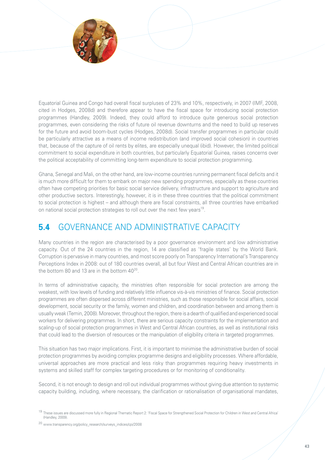Equatorial Guinea and Congo had overall fiscal surpluses of 23% and 10%, respectively, in 2007 (IMF, 2008, cited in Hodges, 2008d) and therefore appear to have the fiscal space for introducing social protection programmes (Handley, 2009). Indeed, they could afford to introduce guite generous social protection programmes, even considering the risks of future oil revenue downturns and the need to build up reserves for the future and avoid boom-bust cycles (Hodges, 2008d). Social transfer programmes in particular could be particularly attractive as a means of income redistribution (and improved social cohesion) in countries that, because of the capture of oil rents by elites, are especially unequal (ibid). However, the limited political commitment to social expenditure in both countries, but particularly Equatorial Guinea, raises concerns over the political acceptability of committing long-term expenditure to social protection programming.

Ghana, Senegal and Mali, on the other hand, are low-income countries running permanent fiscal deficits and it is much more difficult for them to embark on major new spending programmes, especially as these countries often have competing priorities for basic social service delivery, infrastructure and support to agriculture and other productive sectors. Interestingly, however, it is in these three countries that the political commitment to social protection is highest – and although there are fiscal constraints, all three countries have embarked on national social protection strategies to roll out over the next few years<sup>19</sup>.

#### GOVERNANCE AND ADMINISTRATIVE CAPACITY 54

Many countries in the region are characterised by a poor governance environment and low administrative capacity. Out of the 24 countries in the region, 14 are classified as 'fragile states' by the World Bank. Corruption is pervasive in many countries, and most score poorly on Transparency International's Transparency Perceptions Index in 2008; out of 180 countries overall, all but four West and Central African countries are in the bottom 80 and 13 are in the bottom 40<sup>20</sup>.

In terms of administrative capacity, the ministries often responsible for social protection are among the weakest, with low levels of funding and relatively little influence vis-à-vis ministries of finance. Social protection programmes are often dispersed across different ministries, such as those responsible for social affairs, social development, social security or the family, women and children, and coordination between and among them is usually weak (Temin, 2008). Moreover, throughout the region, there is a dearth of qualified and experienced social workers for delivering programmes. In short, there are serious capacity constraints for the implementation and scaling-up of social protection programmes in West and Central African countries, as well as institutional risks that could lead to the diversion of resources or the manipulation of eligibility criteria in targeted programmes.

This situation has two major implications. First, it is important to minimise the administrative burden of social protection programmes by avoiding complex programme designs and eligibility processes. Where affordable, universal approaches are more practical and less risky than programmes requiring heavy investments in systems and skilled staff for complex targeting procedures or for monitoring of conditionality.

Second, it is not enough to design and roll out individual programmes without giving due attention to systemic capacity building, including, where necessary, the clarification or rationalisation of organisational mandates,

<sup>&</sup>lt;sup>19</sup> These issues are discussed more fully in Regional Thematic Report 2: 'Fiscal Space for Strengthened Social Protection for Children in West and Central Africa' (Handley, 2009).

<sup>&</sup>lt;sup>20</sup> www.transparency.org/policy\_research/surveys\_indices/cpi/2008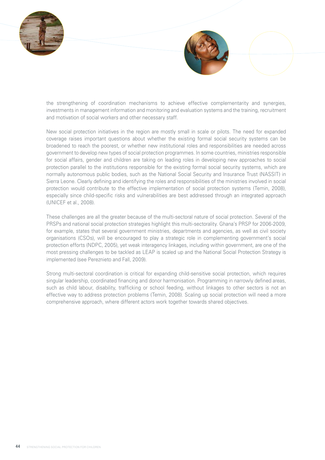

the strengthening of coordination mechanisms to achieve effective complementarity and synergies, investments in management information and monitoring and evaluation systems and the training, recruitment and motivation of social workers and other necessary staff.

New social protection initiatives in the region are mostly small in scale or pilots. The need for expanded coverage raises important questions about whether the existing formal social security systems can be broadened to reach the poorest, or whether new institutional roles and responsibilities are needed across government to develop new types of social protection programmes. In some countries, ministries responsible for social affairs, gender and children are taking on leading roles in developing new approaches to social protection parallel to the institutions responsible for the existing formal social security systems, which are normally autonomous public bodies, such as the National Social Security and Insurance Trust (NASSIT) in Sierra Leone. Clearly defining and identifying the roles and responsibilities of the ministries involved in social protection would contribute to the effective implementation of social protection systems (Temin, 2008), especially since child-specific risks and vulnerabilities are best addressed through an integrated approach (UNICEF et al., 2008).

These challenges are all the greater because of the multi-sectoral nature of social protection. Several of the PRSPs and national social protection strategies highlight this multi-sectorality. Ghana's PRSP for 2006-2009, for example, states that several government ministries, departments and agencies, as well as civil society organisations (CSOs), will be encouraged to play a strategic role in complementing government's social protection efforts (NDPC, 2005), yet weak interagency linkages, including within government, are one of the most pressing challenges to be tackled as LEAP is scaled up and the National Social Protection Strategy is implemented (see Pereznieto and Fall, 2009).

Strong multi-sectoral coordination is critical for expanding child-sensitive social protection, which requires singular leadership, coordinated financing and donor harmonisation. Programming in narrowly defined areas, such as child labour, disability, trafficking or school feeding, without linkages to other sectors is not an effective way to address protection problems (Temin, 2008). Scaling up social protection will need a more comprehensive approach, where different actors work together towards shared objectives.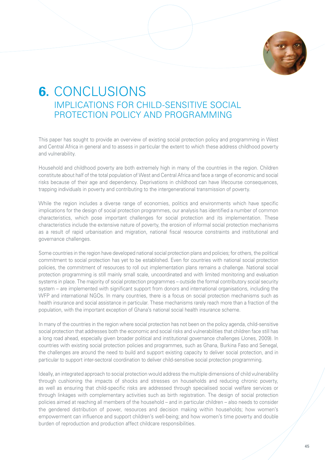

# **6. CONCLUSIONS IMPLICATIONS FOR CHILD-SENSITIVE SOCIAL** PROTECTION POLICY AND PROGRAMMING

This paper has sought to provide an overview of existing social protection policy and programming in West and Central Africa in general and to assess in particular the extent to which these address childhood poverty and vulnerability.

Household and childhood poverty are both extremely high in many of the countries in the region. Children constitute about half of the total population of West and Central Africa and face a range of economic and social risks because of their age and dependency. Deprivations in childhood can have lifecourse consequences, trapping individuals in poverty and contributing to the intergenerational transmission of poverty.

While the region includes a diverse range of economies, politics and environments which have specific implications for the design of social protection programmes, our analysis has identified a number of common characteristics, which pose important challenges for social protection and its implementation. These characteristics include the extensive nature of poverty, the erosion of informal social protection mechanisms as a result of rapid urbanisation and migration, national fiscal resource constraints and institutional and governance challenges.

Some countries in the region have developed national social protection plans and policies; for others, the political commitment to social protection has yet to be established. Even for countries with national social protection policies, the commitment of resources to roll out implementation plans remains a challenge. National social protection programming is still mainly small scale, uncoordinated and with limited monitoring and evaluation systems in place. The majority of social protection programmes - outside the formal contributory social security system – are implemented with significant support from donors and international organisations, including the WFP and international NGOs. In many countries, there is a focus on social protection mechanisms such as health insurance and social assistance in particular. These mechanisms rarely reach more than a fraction of the population, with the important exception of Ghana's national social health insurance scheme.

In many of the countries in the region where social protection has not been on the policy agenda, child-sensitive social protection that addresses both the economic and social risks and vulnerabilities that children face still has a long road ahead, especially given broader political and institutional governance challenges (Jones, 2009). In countries with existing social protection policies and programmes, such as Ghana, Burkina Faso and Senegal, the challenges are around the need to build and support existing capacity to deliver social protection, and in particular to support inter-sectoral coordination to deliver child-sensitive social protection programming.

Ideally, an integrated approach to social protection would address the multiple dimensions of child vulnerability through cushioning the impacts of shocks and stresses on households and reducing chronic poverty, as well as ensuring that child-specific risks are addressed through specialised social welfare services or through linkages with complementary activities such as birth registration. The design of social protection policies aimed at reaching all members of the household - and in particular children - also needs to consider the gendered distribution of power, resources and decision making within households; how women's empowerment can influence and support children's well-being; and how women's time poverty and double burden of reproduction and production affect childcare responsibilities.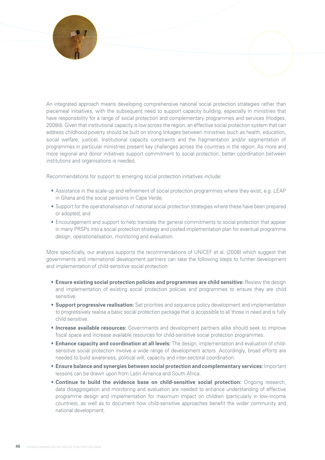An integrated approach means developing comprehensive national social protection strategies rather than piecemeal initiatives, with the subsequent need to support capacity building, especially in ministries that have responsibility for a range of social protection and complementary programmes and services (Hodges, 2008d). Given that institutional capacity is low across the region, an effective social protection system that can address childhood poverty should be built on strong linkages between ministries (such as health, education, social welfare, justice). Institutional capacity constraints and the fragmentation and/or segmentation of programmes in particular ministries present key challenges across the countries in the region. As more and more regional and donor initiatives support commitment to social protection, better coordination between institutions and organisations is needed.

Recommendations for support to emerging social protection initiatives include:

- Assistance in the scale-up and refinement of social protection programmes where they exist, e.g. LEAP in Ghana and the social pensions in Cape Verde;
- Support for the operationalisation of national social protection strategies where these have been prepared or adopted; and
- Encouragement and support to help translate the general commitments to social protection that appear in many PRSPs into a social protection strategy and costed implementation plan for eventual programme design, operationalisation, monitoring and evaluation.

More specifically, our analysis supports the recommendations of UNICEF et al. (2008) which suggest that governments and international development partners can take the following steps to further development and implementation of child-sensitive social protection:

- **Ensure existing social protection policies and programmes are child sensitive:** Review the design and implementation of existing social protection policies and programmes to ensure they are child sensitive.
- **Support progressive realisation:** Set priorities and sequence policy development and implementation to progressively realise a basic social protection package that is accessible to all those in need and is fully child sensitive.
- **Increase available resources:** Governments and development partners alike should seek to improve fiscal space and increase available resources for child-sensitive social protection programmes.
- **Enhance capacity and coordination at all levels:** The design, implementation and evaluation of childsensitive social protection involve a wide range of development actors. Accordingly, broad efforts are needed to build awareness, political will, capacity and inter-sectoral coordination.
- **Ensure balance and synergies between social protection and complementary services:** Important lessons can be drawn upon from Latin America and South Africa.
- **Continue to build the evidence base on child-sensitive social protection:** Ongoing research, data disaggregation and monitoring and evaluation are needed to enhance understanding of effective programme design and implementation for maximum impact on children (particularly in low-income countries), as well as to document how child-sensitive approaches benefit the wider community and national development.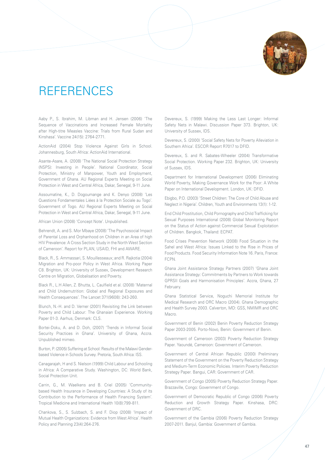

# **REFERENCES**

Aaby P., S. Ibrahim, M. Libman and H. Jensen (2006) 'The Sequence of Vaccinations and Increased Female Mortality after High-titre Measles Vaccine: Trials from Rural Sudan and Kinshasa' Vaccine 24(15): 2764-2771

ActionAid (2004) Stop Violence Against Girls in School. Johannesburg, South Africa: ActionAid International.

Asante-Asare, A. (2008) 'The National Social Protection Strategy (NSPS): Investing in People'. National Coordinator, Social Protection, Ministry of Manpower, Youth and Employment, Government of Ghana. AU Regional Experts Meeting on Social Protection in West and Central Africa, Dakar, Senegal, 9-11 June.

Assoumatine, K., D. Dogoumange and K. Denyo (2008) 'Les Questions Fondamentales Liées à la Protection Sociale au Togo'. Government of Togo. AU Regional Experts Meeting on Social Protection in West and Central Africa, Dakar, Senegal, 9-11 June.

African Union (2008) 'Concept Note'. Unpublished.

Behrendt, A. and S. Mor Mbaye (2008) 'The Psychosocial Impact of Parental Loss and Orphanhood on Children in an Area of high HIV Prevalence: A Cross Section Study in the North West Section of Cameroon'. Report for PLAN, USAID, FHI and AWARE.

Black, R., S. Ammassari, S. Mouillesseaux; and R. Rajkotia (2004) Migration and Pro-poor Policy in West Africa. Working Paper C8. Brighton, UK: University of Sussex, Development Research Centre on Migration, Globalisation and Poverty.

Black R., L.H Allen, Z. Bhutta, L. Caulfield et al. (2008) 'Maternal and Child Undernutrition: Global and Regional Exposures and Health Consequences'. The Lancet 371(9608): 243-260.

Blunch, N.-H. and D. Verner (2001) Revisiting the Link between Poverty and Child Labour: The Ghanaian Experience. Working Paper 01-3. Aarhus, Denmark: CLS.

Bortei-Doku, A. and D. Doh, (2007) 'Trends in Informal Social Security Practices in Ghana'. University of Ghana, Accra. Unnublished mimeo

Burton, P. (2005) Suffering at School: Results of the Malawi Genderbased Violence in Schools Survey. Pretoria, South Africa: ISS.

Canagaraiah, H and S. Nielson (1999) Child Labour and Schooling in Africa: A Comparative Study. Washington, DC: World Bank, Social Protection Unit

Carrin, G., M. Waelkens and B. Criel (2005) 'Communitybased Health Insurance in Developing Countries: A Study of its Contribution to the Performance of Health Financing System'. Tropical Medicine and International Health 10(8):799-811.

Chankova, S., S. Sulzbach, S. and F. Diop (2008) 'Impact of Mutual Health Organizations: Evidence from West Africa'. Health Policy and Planning 23(4):264-276.

Devereux, S. (1999) Making the Less Last Longer: Informal Safety Nets in Malawi. Discussion Paper 373. Brighton, UK: University of Sussex, IDS.

Devereux, S. (2000) 'Social Safety Nets for Poverty Alleviation in Southern Africa'. ESCOR Report R7017 to DFID.

Devereux, S. and R. Sabates-Wheeler (2004) Transformative Social Protection. Working Paper 232. Brighton, UK: University of Sussex IDS

Department for International Development (2006) Eliminating World Poverty, Making Governance Work for the Poor: A White Paper on International Development. London, UK: DFID.

Ebigbo, P.O. (2003) 'Street Children: The Core of Child Abuse and Neglect in Nigeria'. Children, Youth and Environments 13(1): 1-12.

End Child Prostitution, Child Pornography and Child Trafficking for Sexual Purposes International (2008) Global Monitoring Report on the Status of Action against Commercial Sexual Exploitation of Children, Bangkok, Thailand: ECPAT.

Food Crises Prevention Network (2008) Food Situation in the Sahel and West Africa: Issues Linked to the Rise in Prices of Food Products. Food Security Information Note 16. Paris, France: **FCPN** 

Ghana Joint Assistance Strategy Partners (2007) 'Ghana Joint Assistance Strategy: Commitments by Partners to Work towards GPRSII Goals and Harmonisation Principles'. Accra, Ghana, 27 February.

Ghana Statistical Service, Noguchi Memorial Institute for Medical Research and ORC Macro (2004). Ghana Demographic and Health Survey 2003. Calverton, MD: GSS, NMIMR and ORC Macro.

Government of Benin (2002) Benin Poverty Reduction Strategy Paper 2003-2005. Porto-Novo, Benin: Government of Benin.

Government of Cameroon (2003) Poverty Reduction Strategy Paper. Yaoundé, Cameroon: Government of Cameroon.

Government of Central African Republic (2000) Preliminary Statement of the Government on the Poverty Reduction Strategy and Medium-Term Economic Policies. Interim Poverty Reduction Strategy Paper. Bangui, CAR: Government of CAR.

Government of Congo (2005) Poverty Reduction Strategy Paper. Brazzaville, Congo: Government of Congo.

Government of Democratic Republic of Congo (2006) Poverty Reduction and Growth Strategy Paper. Kinshasa, DRC: Government of DRC.

Government of the Gambia (2006) Poverty Reduction Strategy 2007-2011. Banjul, Gambia: Government of Gambia.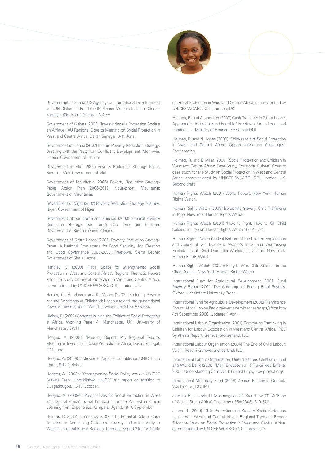

Government of Ghana, US Agency for International Development and UN Children's Fund (2006) Ghana Multiple Indicator Cluster Survey 2006. Accra, Ghana: UNICEF.

Government of Guinea (2008) 'Investir dans la Protection Sociale en Afrique'. AU Regional Experts Meeting on Social Protection in West and Central Africa, Dakar, Senegal, 9-11 June.

Government of Liberia (2007) Interim Poverty Reduction Strategy: Breaking with the Past: from Conflict to Development. Monrovia, Liberia: Government of Liberia.

Government of Mali (2002) Poverty Reduction Strategy Paper. Bamako, Mali: Government of Mali.

Government of Mauritania (2006) Poverty Reduction Strategy Paper Action Plan 2006-2010. Nouakchott, Mauritania: Government of Mauritania.

Government of Niger (2002) Poverty Reduction Strategy. Niamey, Niger: Government of Niger.

Government of São Tomé and Príncipe (2003) National Poverty Reduction Strategy. São Tomé, São Tomé and Príncipe: Government of São Tomé and Príncipe.

Government of Sierra Leone (2005) Poverty Reduction Strategy Paper: A National Programme for Food Security, Job Creation and Good Governance 2005-2007. Freetown, Sierra Leone: Government of Sierra Leone.

Handley G (2009) 'Fiscal Space for Strengthened Social Protection in West and Central Africa' Regional Thematic Report 2 for the Study on Social Protection in West and Central Africa. commissioned by UNICEF WCARO. ODI, London, UK.

Harper, C., R. Marcus and K. Moore (2003) 'Enduring Poverty and the Conditions of Childhood: Lifecourse and Intergenerational Poverty Transmissions'. World Development 31(3): 535-554.

Hickey, S. (2007) Conceptualising the Politics of Social Protection in Africa. Working Paper 4. Manchester. UK: University of Manchester, BWPI.

Hodges, A. (2008a) 'Meeting Report'. AU Regional Experts Meeting on Investing in Social Protection in Africa, Dakar, Senegal, 9-11 June

Hodges, A. (2008b) 'Mission to Nigeria'. Unpublished UNICEF trip report, 9-12 October.

Hodges, A. (2008c) 'Strengthening Social Policy work in UNICEF Burkina Faso'. Unpublished UNICEF trip report on mission to Ouagadougou, 13-18 October.

Hodges, A. (2008d) 'Perspectives for Social Protection in West and Central Africa'. Social Protection for the Poorest in Africa: Learning from Experience, Kampala, Uganda, 8-10 September.

Holmes, R. and A. Barrientos (2009) 'The Potential Role of Cash Transfers in Addressing Childhood Poverty and Vulnerability in West and Central Africa'. Regional Thematic Report 3 for the Study on Social Protection in West and Central Africa, commissioned by UNICEF WCARO. ODI, London, UK.

Holmes, R. and A. Jackson (2007) Cash Transfers in Sierra Leone: Appropriate, Affordable and Feasible? Freetown, Sierra Leone and London, UK: Ministry of Finance, EPRU and ODI.

Holmes, R. and N. Jones (2009) 'Child-sensitive Social Protection in West and Central Africa: Opportunities and Challenges'. Forthcomina.

Holmes, R. and E. Villar (2009) 'Social Protection and Children in West and Central Africa: Case Study, Fquatorial Guinea', Country case study for the Study on Social Protection in West and Central Africa, commissioned by UNICEF WCARO, ODI, London, UK. Second draft

Human Rights Watch (2001) World Report. New York: Human Rights Watch.

Human Rights Watch (2003) Borderline Slavery: Child Trafficking in Togo. New York: Human Rights Watch.

Human Rights Watch (2004) 'How to Fight, How to Kill: Child Soldiers in Liberia'. Human Rights Watch 16(2A): 2-4.

Human Rights Watch (2007a) Bottom of the Ladder: Exploitation and Abuse of Girl Domestic Workers in Guinea. Addressing Exploitation of Child Domestic Workers in Guinea. New York: Human Rights Watch.

Human Rights Watch (2007b) Early to War: Child Soldiers in the Chad Conflict. New York: Human Rights Watch.

International Fund for Agricultural Development (2001) Rural Poverty Report 2001: The Challenge of Ending Rural Poverty. Oxford, UK: Oxford University Press.

International Fund for Agricultural Development (2008) 'Remittance Forum: Africa'. www.ifad.org/events/remittances/maps/africa.htm 4th September 2008. Updated 1 April.

International Labour Organization (2001) Combating Trafficking in Children for Labour Exploitation in West and Central Africa. IPEC Synthesis Report. Geneva, Switzerland: ILO.

International Labour Organization (2006) The End of Child Labour: Within Reach? Geneva, Switzerland: ILO.

International Labour Organization, United Nations Children's Fund and World Bank (2005) 'Mali: Enquête sur le Travail des Enfants 2005'. Understanding Child Work Project http://ucw-project.org/.

International Monetary Fund (2008) African Economic Outlook. Washington, DC: IMF.

Jewkes, R., J. Levin, N. Mbananga and D. Bradshaw (2002) 'Rape of Girls in South Africa'. The Lancet 359(9303): 319-320.

Jones, N. (2009) 'Child Protection and Broader Social Protection Linkages in West and Central Africa'. Regional Thematic Report 5 for the Study on Social Protection in West and Central Africa, commissioned by UNICEF WCARO. ODI, London, UK.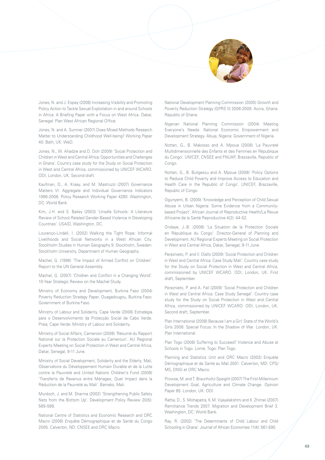

Jones, N. and J. Espey (2008) Increasing Visibility and Promoting Policy Action to Tackle Sexual Exploitation in and around Schools in Africa: A Briefing Paper with a Focus on West Africa. Dakar, Senegal: Plan West African Regional Office.

Jones, N. and A. Sumner (2007) Does Mixed Methods Research Matter to Understanding Childhood Well-being? Working Paper 40 Bath UK: WeD

Jones, N., W. Ahadzie and D. Doh (2009) 'Social Protection and Children in West and Central Africa: Opportunities and Challenges in Ghana'. Country case study for the Study on Social Protection in West and Central Africa, commissioned by UNICEF WCARO. ODI, London, UK. Second draft.

Kaufman, D., A. Kraay, and M. Mastruzzi (2007) Governance Matters VI: Aggregate and Individual Governance Indicators 1996-2006. Policy Research Working Paper 4280. Washington, DC: World Bank.

Kim, J.H. and S. Bailey (2003) 'Unsafe Schools: A Literature Review of School-Related Gender-Based Violence in Developing Countries'. USAID, Washington, DC.

Lourenço-Lindell, I. (2002) Walking the Tight Rope: Informal Livelihoods and Social Networks in a West African City. Stockholm Studies in Human Geography 9. Stockholm, Sweden: Stockholm University, Department of Human Geography.

Machel, G. (1996) 'The Impact of Armed Conflict on Children'. Report to the UN General Assembly.

Machel, G. (2007) 'Children and Conflict in a Changing World'. 10-Year Strategic Review on the Machel Study.

Ministry of Economy and Development, Burkina Faso (2004) Poverty Reduction Strategy Paper. Ouagadougou, Burkina Faso: Government of Burkina Faso

Ministry of Labour and Solidarity, Cape Verde (2006) Estratégia para o Desenvolvimento da Protecção Social de Cabo Verde. Praia, Cape Verde: Ministry of Labour and Solidarity.

Ministry of Social Affairs, Cameroon (2008) 'Résumé du Rapport National sur la Protection Sociale au Cameroun'. AU Regional Experts Meeting on Social Protection in West and Central Africa, Dakar, Senegal, 9-11 June.

Ministry of Social Development, Solidarity and the Elderly, Mali, Observatoire du Développement Humain Durable et de la Lutte contre la Pauvreté and United Nations Children's Fund (2008) 'Transferts de Revenus entre Ménages, Quel Impact dans la Réduction de la Pauvreté au Mali'. Bamako, Mali.

Murdoch, J. and M. Sharma (2002) 'Strengthening Public Safety Nets from the Bottom Up'. Development Policy Review 20(5): 569-588

National Centre of Statistics and Economic Research and ORC Macro (2006) Enquête Démographique et de Santé du Congo 2005. Calverton, ND: CNSEE and ORC Macro.

National Development Planning Commission (2005) Growth and Poverty Reduction Strategy (GPRS II) 2006-2009. Accra, Ghana: Republic of Ghana.

Nigerian National Planning Commission (2004) Meeting Everyone's Needs: National Economic Empowerment and Development Strategy. Abuja, Nigeria: Government of Nigeria.

Notten, G., B. Makosso and A. Mpoue (2008) 'La Pauvreté Multidimensionnelle des Enfants et des Femmes en République du Congo'. UNICEF, CNSEE and FNUAP, Brazzaville, Republic of Congo.

Notten, G., B. Buligescu and A. Mpoue (2008) 'Policy Options to Reduce Child Poverty and Improve Access to Education and Health Care in the Republic of Congo', UNICEF, Brazzaville, Republic of Congo.

Ogunyemi, B. (2000) 'Knowledge and Perception of Child Sexual Abuse in Urban Nigeria: Some Evidence from a Communitybased Project'. African Journal of Reproductive Health/La Revue Africaine de la Santé Reproductive 4(2): 44-52.

Ondaye, J.-B. (2008) 'La Situation de la Protection Sociale en République du Congo'. Director-General of Planning and Development. AU Regional Experts Meeting on Social Protection in West and Central Africa, Dakar, Senegal, 9-11 June.

Pereznieto, P. and V. Diallo (2009) 'Social Protection and Children in West and Central Africa: Case Study Mali'. Country case study for the Study on Social Protection in West and Central Africa, commissioned by UNICEF WCARO. ODI, London, UK. First draft. September.

Pereznieto, P. and A. Fall (2009) 'Social Protection and Children in West and Central Africa: Case Study Senegal'. Country case study for the Study on Social Protection in West and Central Africa, commissioned by UNICEF WCARO. ODI, London, UK. Second draft, September,

Plan International (2008) Because Lam a Girl: State of the World's Girls 2008; Special Focus: In the Shadow of War London, UK: Plan International.

Plan Togo (2006) Suffering to Succeed? Violence and Abuse at Schools in Togo. Lomé, Togo: Plan Togo.

Planning and Statistics Unit and ORC Macro (2002) Enquête Démographique et de Santé au Mali 2001, Calverton, MD; CPS/ MS, DNSI et ORC Macro.

Prowse, M. and T. Braunholtz-Speight (2007) The First Millennium Development Goal, Agriculture and Climate Change. Opinion Paper 85. London, UK: ODI.

Ratha, D., S. Mohapatra, K.M. Vijayalakshmi and X. Zhimei (2007) Remittance Trends 2007. Migration and Development Brief 3. Washington, DC: World Bank.

Ray, R. (2002) 'The Determinants of Child Labour and Child Schooling in Ghana'. Journal of African Economies 11(4): 561-590.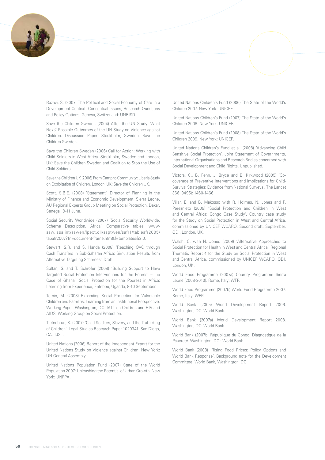

Razavi, S. (2007) The Political and Social Economy of Care in a Development Context: Conceptual Issues, Research Questions and Policy Options. Geneva, Switzerland: UNRISD.

Save the Children Sweden (2004) After the UN Study: What Next? Possible Outcomes of the UN Study on Violence against Children. Discussion Paper. Stockholm, Sweden: Save the Children Sweden

Save the Children Sweden (2006) Call for Action: Working with Child Soldiers in West Africa. Stockholm, Sweden and London, UK: Save the Children Sweden and Coalition to Stop the Use of Child Soldiers

Save the Children UK (2006) From Camp to Community: Liberia Study on Exploitation of Children. London, UK: Save the Children UK.

Scott, S.B.E. (2008) 'Statement'. Director of Planning in the Ministry of Finance and Economic Development, Sierra Leone. AU Regional Experts Group Meeting on Social Protection, Dakar, Senegal, 9-11 June.

Social Security Worldwide (2007) 'Social Security Worldwide, Scheme Description, Africa'. Comparative tables. wwwssw.issa.int/sswen/lpext.dll/ssptwen/safr1/tableafr2005/ tabafr2007?fn=document-frame.htm&f=templates&2.0.

Stewart, S.R. and S. Handa (2008) 'Reaching OVC through Cash Transfers in Sub-Saharan Africa: Simulation Results from Alternative Targeting Schemes'. Draft.

Sultan, S. and T. Schrofer (2008) 'Building Support to Have Targeted Social Protection Interventions for the Poorest - the Case of Ghana'. Social Protection for the Poorest in Africa: Learning from Experience, Entebbe, Uganda, 8-10 September.

Temin, M. (2008) Expanding Social Protection for Vulnerable Children and Families: Learning from an Institutional Perspective. Working Paper. Washington, DC: IATT on Children and HIV and AIDS, Working Group on Social Protection.

Tiefenbrun, S. (2007) 'Child Soldiers, Slavery, and the Trafficking of Children'. Legal Studies Research Paper 1020341. San Diego. CA: TJSL.

United Nations (2006) Report of the Independent Expert for the United Nations Study on Violence against Children. New York: UN General Assembly.

United Nations Population Fund (2007) State of the World Population 2007: Unleashing the Potential of Urban Growth. New York: UNFPA.

United Nations Children's Fund (2006) The State of the World's Children 2007. New York: UNICEF.

United Nations Children's Fund (2007) The State of the World's Children 2008, New York: UNICEF.

United Nations Children's Fund (2008) The State of the World's Children 2009. New York: UNICEF.

United Nations Children's Fund et al. (2008) 'Advancing Child Sensitive Social Protection'. Joint Statement of Governments, International Organisations and Research Bodies concerned with Social Development and Child Rights, Unpublished.

Victora, C., B. Fenn, J. Bryce and B. Kirkwood (2005) 'Cocoverage of Preventive Interventions and Implications for Child-Survival Strategies: Evidence from National Surveys'. The Lancet 366 (9495): 1460-1466.

Villar, E. and B. Makosso with R. Holmes, N. Jones and P. Pereznieto (2009) 'Social Protection and Children in West and Central Africa: Congo Case Study'. Country case study for the Study on Social Protection in West and Central Africa, commissioned by UNICEF WCARO. Second draft, September. ODI, London, UK.

Walsh, C. with N. Jones (2009) 'Alternative Approaches to Social Protection for Health in West and Central Africa'. Regional Thematic Report 4 for the Study on Social Protection in West and Central Africa, commissioned by UNICEF WCARO. ODI, London, UK.

World Food Programme (2007a) Country Programme Sierra Leone (2008-2010). Rome, Italy: WFP.

World Food Programme (2007b) World Food Programme 2007. Rome, Italy: WFP.

World Bank (2005) World Development Report 2006. Washington, DC: World Bank

World Bank (2007a) World Development Report 2008. Washington, DC: World Bank.

World Bank (2007b) République du Congo. Diagnostique de la Pauvreté. Washington, DC : World Bank.

World Bank (2008) 'Rising Food Prices: Policy Options and World Bank Response'. Background note for the Development Committee. World Bank, Washington, DC.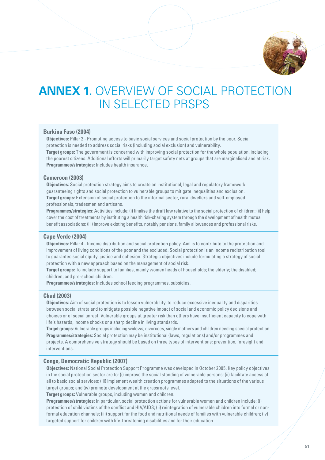

# ANNEX 1. OVERVIEW OF SOCIAL PROTECTION IN SELECTED PRSPS

### **Burkina Faso (2004)**

**Objectives:** Pillar 2 - Promoting access to basic social services and social protection by the poor. Social protection is needed to address social risks (including social exclusion) and vulnerability. **Target groups:** The government is concerned with improving social protection for the whole population, including

the poorest citizens. Additional efforts will primarily target safety nets at groups that are marginalised and at risk. **Programmes/strategies:** Includes health insurance.

### **Cameroon (2003)**

**Objectives:** Social protection strategy aims to create an institutional, legal and regulatory framework guaranteeing rights and social protection to vulnerable groups to mitigate inequalities and exclusion. **Target groups:** Extension of social protection to the informal sector, rural dwellers and self-employed professionals, tradesmen and artisans.

**Programmes/strategies:** Activities include: (i) finalise the draft law relative to the social protection of children; (ii) help cover the cost of treatments by instituting a health risk-sharing system through the development of health mutual benefit associations; (iii) improve existing benefits, notably pensions, family allowances and professional risks.

### **Cape Verde (2004)**

**Objectives:** Pillar 4 - Income distribution and social protection policy. Aim is to contribute to the protection and improvement of living conditions of the poor and the excluded. Social protection is an income redistribution tool to guarantee social equity, justice and cohesion. Strategic objectives include formulating a strategy of social protection with a new approach based on the management of social risk.

**Target groups:** To include support to families, mainly women heads of households; the elderly; the disabled; children; and pre-school children.

**Programmes/strategies:** Includes school feeding programmes, subsidies.

### **Chad (2003)**

**Objectives:** Aim of social protection is to lessen vulnerability, to reduce excessive inequality and disparities between social strata and to mitigate possible negative impact of social and economic policy decisions and choices or of social unrest. Vulnerable groups at greater risk than others have insufficient capacity to cope with life's hazards, income shocks or a sharp decline in living standards.

**Target groups:** Vulnerable groups including widows, divorcees, single mothers and children needing special protection. **Programmes/strategies:** Social protection may be institutional (laws, regulations) and/or programmes and projects. A comprehensive strategy should be based on three types of interventions: prevention, foresight and interventions.

### **Congo, Democratic Republic (2007)**

**Objectives:** National Social Protection Support Programme was developed in October 2005. Key policy objectives in the social protection sector are to: (i) improve the social standing of vulnerable persons; (ii) facilitate access of all to basic social services; (iii) implement wealth creation programmes adapted to the situations of the various target groups; and (iv) promote development at the grassroots level.

**Target groups:** Vulnerable groups, including women and children.

**Programmes/strategies:** In particular, social protection actions for vulnerable women and children include: (i) protection of child victims of the conflict and HIV/AIDS; (ii) reintegration of vulnerable children into formal or nonformal education channels; (iii) support for the food and nutritional needs of families with vulnerable children; (iv) targeted support for children with life-threatening disabilities and for their education.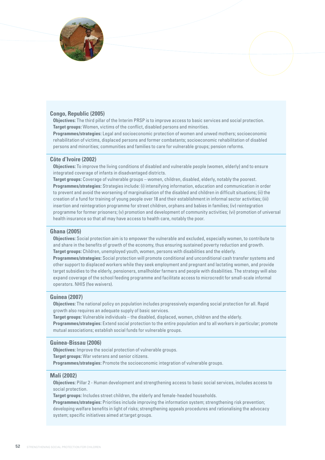### **Congo, Republic (2005)**

**Objectives:** The third pillar of the Interim PRSP is to improve access to basic services and social protection. **Target groups:** Women, victims of the conflict, disabled persons and minorities.

**Programmes/strategies:** Legal and socioeconomic protection of women and unwed mothers; socioeconomic rehabilitation of victims, displaced persons and former combatants; socioeconomic rehabilitation of disabled persons and minorities; communities and families to care for vulnerable groups; pension reforms.

#### **Côte d'Ivoire (2002)**

**Objectives:** To improve the living conditions of disabled and vulnerable people (women, elderly) and to ensure integrated coverage of infants in disadvantaged districts.

**Target groups:** Coverage of vulnerable groups – women, children, disabled, elderly, notably the poorest. **Programmes/strategies:** Strategies include: (i) intensifying information, education and communication in order to prevent and avoid the worsening of marginalisation of the disabled and children in difficult situations; (ii) the creation of a fund for training of young people over 18 and their establishment in informal sector activities; (iii) insertion and reintegration programme for street children, orphans and babies in families; (iv) reintegration programme for former prisoners; (v) promotion and development of community activities; (vi) promotion of universal health insurance so that all may have access to health care, notably the poor.

#### **Ghana (2005)**

**Objectives:** Social protection aim is to empower the vulnerable and excluded, especially women, to contribute to and share in the benefits of growth of the economy, thus ensuring sustained poverty reduction and growth. **Target groups:** Children, unemployed youth, women, persons with disabilities and the elderly.

**Programmes/strategies:** Social protection will promote conditional and unconditional cash transfer systems and other support to displaced workers while they seek employment and pregnant and lactating women, and provide target subsidies to the elderly, pensioners, smallholder farmers and people with disabilities. The strategy will also expand coverage of the school feeding programme and facilitate access to microcredit for small-scale informal operators. NHIS (fee waivers).

#### **Guinea (2007)**

**Objectives:** The national policy on population includes progressively expanding social protection for all. Rapid growth also requires an adequate supply of basic services.

**Target groups:** Vulnerable individuals – the disabled, displaced, women, children and the elderly. **Programmes/strategies:** Extend social protection to the entire population and to all workers in particular; promote mutual associations; establish social funds for vulnerable groups.

#### **Guinea-Bissau (2006)**

**Objectives:** Improve the social protection of vulnerable groups.

**Target groups:** War veterans and senior citizens.

**Programmes/strategies:** Promote the socioeconomic integration of vulnerable groups.

#### **Mali (2002)**

**Objectives:** Pillar 2 - Human development and strengthening access to basic social services, includes access to social protection.

**Target groups:** Includes street children, the elderly and female-headed households.

**Programmes/strategies:** Priorities include improving the information system; strengthening risk prevention; developing welfare benefits in light of risks; strengthening appeals procedures and rationalising the advocacy system; specific initiatives aimed at target groups.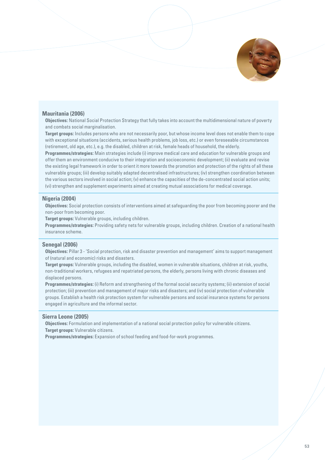### **Mauritania (2006)**

**Objectives:** National Social Protection Strategy that fully takes into account the multidimensional nature of poverty and combats social marginalisation.

**Target groups:** Includes persons who are not necessarily poor, but whose income level does not enable them to cope with exceptional situations (accidents, serious health problems, job loss, etc.) or even foreseeable circumstances (retirement, old age, etc.), e.g. the disabled, children at risk, female heads of household, the elderly.

**Programmes/strategies:** Main strategies include (i) improve medical care and education for vulnerable groups and offer them an environment conducive to their integration and socioeconomic development; (ii) evaluate and revise the existing legal framework in order to orient it more towards the promotion and protection of the rights of all these vulnerable groups; (iii) develop suitably adapted decentralised infrastructures; (iv) strengthen coordination between the various sectors involved in social action; (v) enhance the capacities of the de-concentrated social action units; (vi) strengthen and supplement experiments aimed at creating mutual associations for medical coverage.

#### **Nigeria (2004)**

**Objectives:** Social protection consists of interventions aimed at safeguarding the poor from becoming poorer and the non-poor from becoming poor.

**Target groups:** Vulnerable groups, including children.

**Programmes/strategies:** Providing safety nets for vulnerable groups, including children. Creation of a national health insurance scheme.

### **Senegal (2006)**

**Objectives:** Pillar 3 - 'Social protection, risk and disaster prevention and management' aims to support management of (natural and economic) risks and disasters.

**Target groups:** Vulnerable groups, including the disabled, women in vulnerable situations, children at risk, youths, non-traditional workers, refugees and repatriated persons, the elderly, persons living with chronic diseases and displaced persons.

**Programmes/strategies:** (i) Reform and strengthening of the formal social security systems; (ii) extension of social protection; (iii) prevention and management of major risks and disasters; and (iv) social protection of vulnerable groups. Establish a health risk protection system for vulnerable persons and social insurance systems for persons engaged in agriculture and the informal sector.

#### **Sierra Leone (2005)**

**Objectives:** Formulation and implementation of a national social protection policy for vulnerable citizens. **Target groups:** Vulnerable citizens.

**Programmes/strategies:** Expansion of school feeding and food-for-work programmes.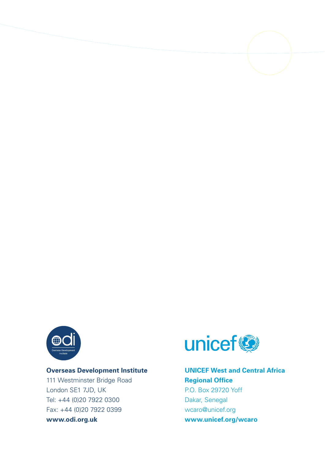

### **Overseas Development Institute**

111 Westminster Bridge Road London SE1 7JD, UK Tel: +44 (0)20 7922 0300 Fax: +44 (0)20 7922 0399 www.odi.org.uk



**UNICEF West and Central Africa Regional Office** P.O. Box 29720 Yoff

Dakar, Senegal wcaro@unicef.org www.unicef.org/wcaro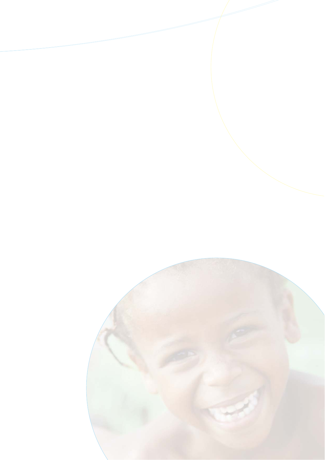